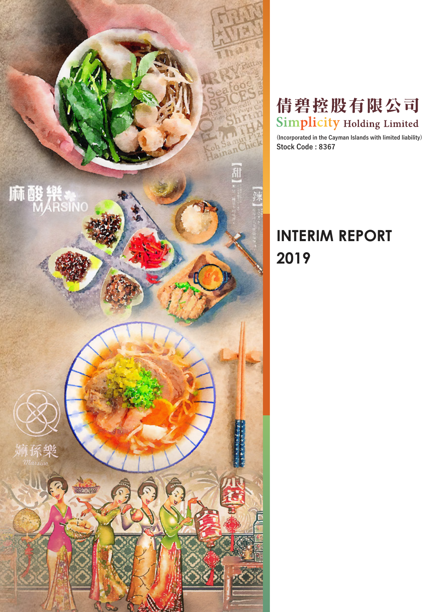

# 倩碧控股有限公司 **Simplicity Holding Limited**

**(Incorporated in the Cayman Islands with limited liability) Stock Code : 8367**

# **INTERIM REPORT 2019**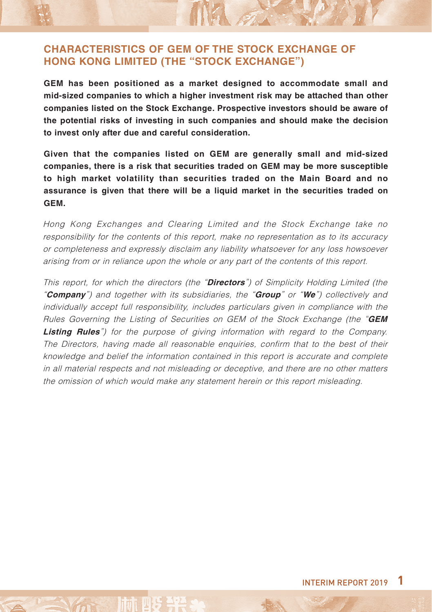### **CHARACTERISTICS OF GEM OF THE STOCK EXCHANGE OF HONG KONG LIMITED (THE "STOCK EXCHANGE")**

**GEM has been positioned as a market designed to accommodate small and mid-sized companies to which a higher investment risk may be attached than other companies listed on the Stock Exchange. Prospective investors should be aware of the potential risks of investing in such companies and should make the decision to invest only after due and careful consideration.**

MAG

**Given that the companies listed on GEM are generally small and mid-sized companies, there is a risk that securities traded on GEM may be more susceptible to high market volatility than securities traded on the Main Board and no assurance is given that there will be a liquid market in the securities traded on GEM.**

Hong Kong Exchanges and Clearing Limited and the Stock Exchange take no responsibility for the contents of this report, make no representation as to its accuracy or completeness and expressly disclaim any liability whatsoever for any loss howsoever arising from or in reliance upon the whole or any part of the contents of this report.

This report, for which the directors (the "**Directors**") of Simplicity Holding Limited (the "**Company**") and together with its subsidiaries, the "**Group**" or "**We**") collectively and individually accept full responsibility, includes particulars given in compliance with the Rules Governing the Listing of Securities on GEM of the Stock Exchange (the "**GEM Listing Rules**") for the purpose of giving information with regard to the Company. The Directors, having made all reasonable enquiries, confirm that to the best of their knowledge and belief the information contained in this report is accurate and complete in all material respects and not misleading or deceptive, and there are no other matters the omission of which would make any statement herein or this report misleading.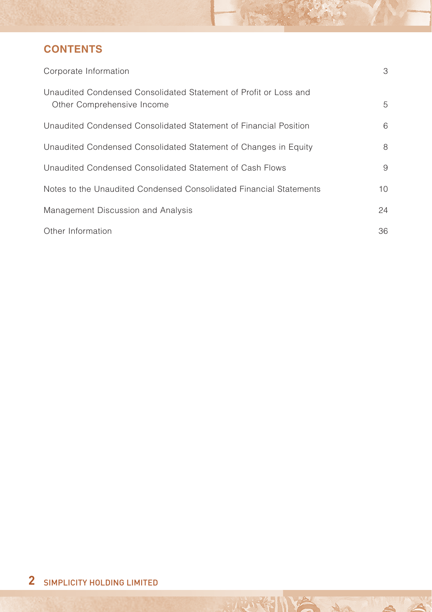# **CONTENTS**

| Corporate Information                                                                          | 3               |
|------------------------------------------------------------------------------------------------|-----------------|
| Unaudited Condensed Consolidated Statement of Profit or Loss and<br>Other Comprehensive Income | 5               |
| Unaudited Condensed Consolidated Statement of Financial Position                               | 6               |
| Unaudited Condensed Consolidated Statement of Changes in Equity                                | 8               |
| Unaudited Condensed Consolidated Statement of Cash Flows                                       | 9               |
| Notes to the Unaudited Condensed Consolidated Financial Statements                             | 10 <sup>1</sup> |
| Management Discussion and Analysis                                                             | 24              |
| Other Information                                                                              | 36              |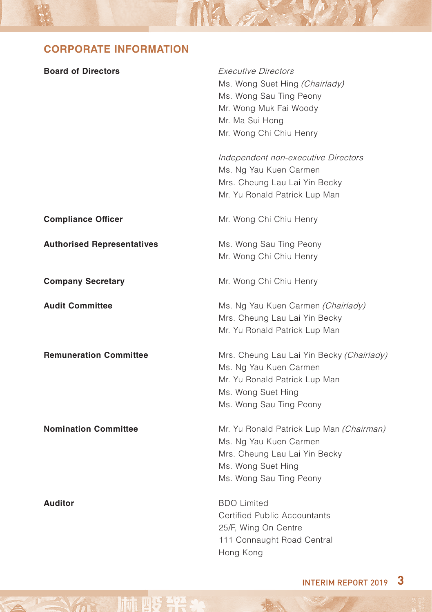# **CORPORATE INFORMATION**

100世

 $\rightarrow$ 

| <b>Board of Directors</b>         | <i>Executive Directors</i><br>Ms. Wong Suet Hing (Chairlady)<br>Ms. Wong Sau Ting Peony<br>Mr. Wong Muk Fai Woody<br>Mr. Ma Sui Hong<br>Mr. Wong Chi Chiu Henry<br>Independent non-executive Directors<br>Ms. Ng Yau Kuen Carmen<br>Mrs. Cheung Lau Lai Yin Becky<br>Mr. Yu Ronald Patrick Lup Man |
|-----------------------------------|----------------------------------------------------------------------------------------------------------------------------------------------------------------------------------------------------------------------------------------------------------------------------------------------------|
| <b>Compliance Officer</b>         | Mr. Wong Chi Chiu Henry                                                                                                                                                                                                                                                                            |
| <b>Authorised Representatives</b> | Ms. Wong Sau Ting Peony<br>Mr. Wong Chi Chiu Henry                                                                                                                                                                                                                                                 |
| <b>Company Secretary</b>          | Mr. Wong Chi Chiu Henry                                                                                                                                                                                                                                                                            |
| <b>Audit Committee</b>            | Ms. Ng Yau Kuen Carmen (Chairlady)<br>Mrs. Cheung Lau Lai Yin Becky<br>Mr. Yu Ronald Patrick Lup Man                                                                                                                                                                                               |
| <b>Remuneration Committee</b>     | Mrs. Cheung Lau Lai Yin Becky (Chairlady)<br>Ms. Ng Yau Kuen Carmen<br>Mr. Yu Ronald Patrick Lup Man<br>Ms. Wong Suet Hing<br>Ms. Wong Sau Ting Peony                                                                                                                                              |
| <b>Nomination Committee</b>       | Mr. Yu Ronald Patrick Lup Man (Chairman)<br>Ms. Ng Yau Kuen Carmen<br>Mrs. Cheung Lau Lai Yin Becky<br>Ms. Wong Suet Hing<br>Ms. Wong Sau Ting Peony                                                                                                                                               |
| <b>Auditor</b>                    | <b>BDO Limited</b><br>Certified Public Accountants<br>25/F, Wing On Centre<br>111 Connaught Road Central<br>Hong Kong                                                                                                                                                                              |

MA A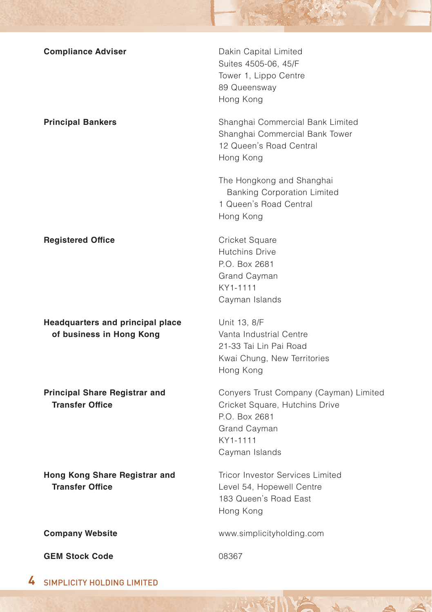| <b>Compliance Adviser</b>                                      | Dakin Capital Limited<br>Suites 4505-06, 45/F<br>Tower 1, Lippo Centre<br>89 Queensway<br>Hong Kong                                     |
|----------------------------------------------------------------|-----------------------------------------------------------------------------------------------------------------------------------------|
| <b>Principal Bankers</b>                                       | Shanghai Commercial Bank Limited<br>Shanghai Commercial Bank Tower<br>12 Queen's Road Central<br>Hong Kong                              |
|                                                                | The Hongkong and Shanghai<br><b>Banking Corporation Limited</b><br>1 Queen's Road Central<br>Hong Kong                                  |
| <b>Registered Office</b>                                       | Cricket Square<br><b>Hutchins Drive</b><br>P.O. Box 2681<br>Grand Cayman<br>KY1-1111<br>Cayman Islands                                  |
| Headquarters and principal place<br>of business in Hong Kong   | Unit 13, 8/F<br>Vanta Industrial Centre<br>21-33 Tai Lin Pai Road<br>Kwai Chung, New Territories<br>Hong Kong                           |
| <b>Principal Share Registrar and</b><br><b>Transfer Office</b> | Conyers Trust Company (Cayman) Limited<br>Cricket Square, Hutchins Drive<br>P.O. Box 2681<br>Grand Cayman<br>KY1-1111<br>Cayman Islands |
| Hong Kong Share Registrar and<br><b>Transfer Office</b>        | <b>Tricor Investor Services Limited</b><br>Level 54, Hopewell Centre<br>183 Queen's Road East<br>Hong Kong                              |
| <b>Company Website</b>                                         | www.simplicityholding.com                                                                                                               |
| <b>GEM Stock Code</b>                                          | 08367                                                                                                                                   |
|                                                                |                                                                                                                                         |

**4** SIMPLICITY HOLDING LIMITED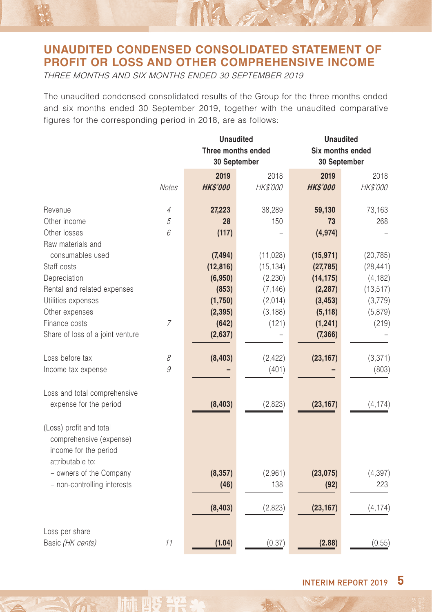# **UNAUDITED CONDENSED CONSOLIDATED STATEMENT OF PROFIT OR LOSS AND OTHER COMPREHENSIVE INCOME**

NA A

THREE MONTHS AND SIX MONTHS ENDED 30 SEPTEMBER 2019

The unaudited condensed consolidated results of the Group for the three months ended and six months ended 30 September 2019, together with the unaudited comparative figures for the corresponding period in 2018, are as follows:

|                                  |                | <b>Unaudited</b>   |           | <b>Unaudited</b> |                  |  |
|----------------------------------|----------------|--------------------|-----------|------------------|------------------|--|
|                                  |                | Three months ended |           |                  | Six months ended |  |
|                                  |                | 30 September       |           | 30 September     |                  |  |
|                                  |                | 2019               | 2018      | 2019             | 2018             |  |
|                                  | <b>Notes</b>   | <b>HK\$'000</b>    | HK\$'000  | <b>HK\$'000</b>  | HK\$'000         |  |
| Revenue                          | 4              | 27,223             | 38,289    | 59,130           | 73,163           |  |
| Other income                     | 5              | 28                 | 150       | 73               | 268              |  |
| Other losses                     | 6              | (117)              |           | (4, 974)         |                  |  |
| Raw materials and                |                |                    |           |                  |                  |  |
| consumables used                 |                | (7, 494)           | (11, 028) | (15, 971)        | (20, 785)        |  |
| Staff costs                      |                | (12, 816)          | (15, 134) | (27, 785)        | (28, 441)        |  |
| Depreciation                     |                | (6,950)            | (2, 230)  | (14, 175)        | (4, 182)         |  |
| Rental and related expenses      |                | (853)              | (7, 146)  | (2, 287)         | (13, 517)        |  |
| Utilities expenses               |                | (1,750)            | (2,014)   | (3, 453)         | (3,779)          |  |
| Other expenses                   |                | (2, 395)           | (3, 188)  | (5, 118)         | (5,879)          |  |
| Finance costs                    | $\overline{7}$ | (642)              | (121)     | (1, 241)         | (219)            |  |
| Share of loss of a joint venture |                | (2,637)            |           | (7, 366)         |                  |  |
| Loss before tax                  | 8              | (8, 403)           | (2, 422)  | (23, 167)        | (3, 371)         |  |
| Income tax expense               | 9              |                    | (401)     |                  | (803)            |  |
| Loss and total comprehensive     |                |                    |           |                  |                  |  |
| expense for the period           |                | (8, 403)           | (2,823)   | (23, 167)        | (4, 174)         |  |
| (Loss) profit and total          |                |                    |           |                  |                  |  |
| comprehensive (expense)          |                |                    |           |                  |                  |  |
| income for the period            |                |                    |           |                  |                  |  |
| attributable to:                 |                |                    |           |                  |                  |  |
| - owners of the Company          |                | (8, 357)           | (2,961)   | (23, 075)        | (4, 397)         |  |
| - non-controlling interests      |                | (46)               | 138       | (92)             | 223              |  |
|                                  |                | (8, 403)           | (2,823)   | (23, 167)        | (4, 174)         |  |
| Loss per share                   |                |                    |           |                  |                  |  |
| Basic (HK cents)                 | 11             | (1.04)             | (0.37)    | (2.88)           | (0.55)           |  |
|                                  |                |                    |           |                  |                  |  |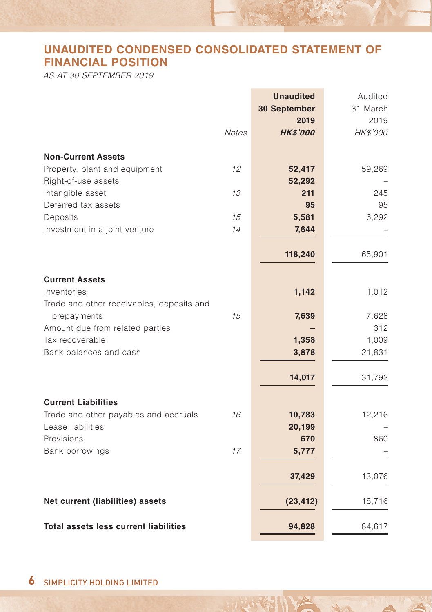# **UNAUDITED CONDENSED CONSOLIDATED STATEMENT OF FINANCIAL POSITION**

AS AT 30 SEPTEMBER 2019

|                                              |              | <b>Unaudited</b><br>30 September<br>2019 | Audited<br>31 March<br>2019 |
|----------------------------------------------|--------------|------------------------------------------|-----------------------------|
|                                              | <b>Notes</b> | <b>HK\$'000</b>                          | HK\$'000                    |
| <b>Non-Current Assets</b>                    |              |                                          |                             |
| Property, plant and equipment                | $12^{1}$     | 52,417                                   | 59,269                      |
| Right-of-use assets<br>Intangible asset      | 13           | 52,292<br>211                            | 245                         |
| Deferred tax assets                          |              | 95                                       | 95                          |
| Deposits                                     | 15           | 5,581                                    | 6,292                       |
| Investment in a joint venture                | 14           | 7,644                                    |                             |
|                                              |              |                                          |                             |
|                                              |              | 118,240                                  | 65,901                      |
| <b>Current Assets</b>                        |              |                                          |                             |
| Inventories                                  |              | 1,142                                    | 1,012                       |
| Trade and other receivables, deposits and    |              |                                          |                             |
| prepayments                                  | 15           | 7,639                                    | 7,628                       |
| Amount due from related parties              |              |                                          | 312                         |
| Tax recoverable                              |              | 1,358                                    | 1,009                       |
| Bank balances and cash                       |              | 3,878                                    | 21,831                      |
|                                              |              | 14,017                                   | 31,792                      |
| <b>Current Liabilities</b>                   |              |                                          |                             |
| Trade and other payables and accruals        | 16           | 10,783                                   | 12,216                      |
| Lease liabilities                            |              | 20,199                                   |                             |
| Provisions                                   |              | 670                                      | 860                         |
| Bank borrowings                              | 17           | 5,777                                    |                             |
|                                              |              | 37,429                                   | 13,076                      |
| Net current (liabilities) assets             |              | (23, 412)                                | 18,716                      |
|                                              |              |                                          |                             |
| <b>Total assets less current liabilities</b> |              | 94,828                                   | 84,617                      |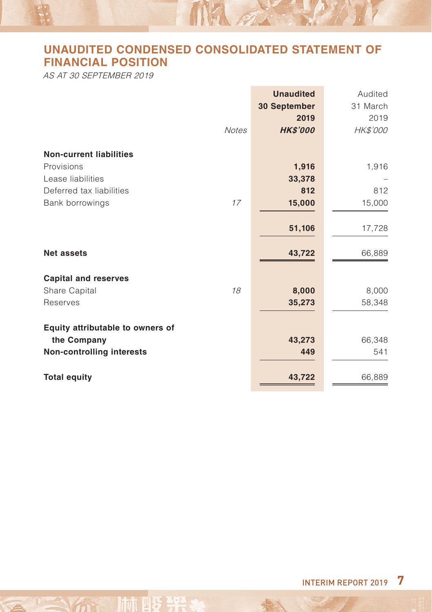# **UNAUDITED CONDENSED CONSOLIDATED STATEMENT OF FINANCIAL POSITION**

MA 2

AS AT 30 SEPTEMBER 2019

|                                  | <b>Unaudited</b> | Audited  |
|----------------------------------|------------------|----------|
|                                  | 30 September     | 31 March |
|                                  | 2019             | 2019     |
| <b>Notes</b>                     | <b>HKS'000</b>   | HK\$'000 |
| <b>Non-current liabilities</b>   |                  |          |
| Provisions                       | 1,916            | 1,916    |
| Lease liabilities                | 33,378           |          |
| Deferred tax liabilities         | 812              | 812      |
| Bank borrowings<br>17            | 15,000           | 15,000   |
|                                  | 51,106           | 17,728   |
| <b>Net assets</b>                | 43,722           | 66,889   |
| <b>Capital and reserves</b>      |                  |          |
| Share Capital<br>18              | 8,000            | 8,000    |
| Reserves                         | 35,273           | 58,348   |
| Equity attributable to owners of |                  |          |
| the Company                      | 43,273           | 66,348   |
| Non-controlling interests        | 449              | 541      |
| <b>Total equity</b>              | 43,722           | 66,889   |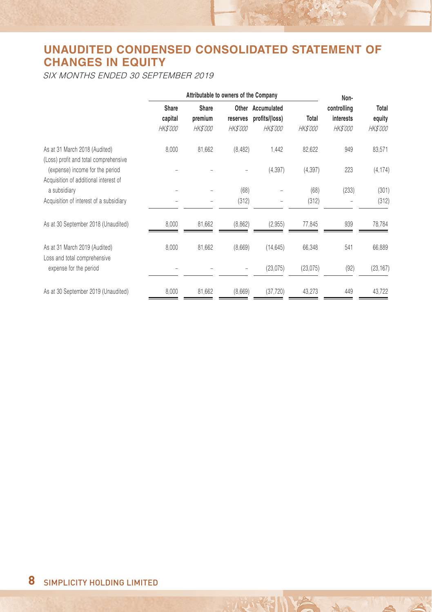# **UNAUDITED CONDENSED CONSOLIDATED STATEMENT OF CHANGES IN EQUITY**

SIX MONTHS ENDED 30 SEPTEMBER 2019

|                                                                          | Attributable to owners of the Company |                                     |                             |                                                        |                          |                                             |                                    | Non- |  |
|--------------------------------------------------------------------------|---------------------------------------|-------------------------------------|-----------------------------|--------------------------------------------------------|--------------------------|---------------------------------------------|------------------------------------|------|--|
|                                                                          | Share<br>capital<br><b>HK\$'000</b>   | Share<br>premium<br><b>HK\$'000</b> | reserves<br><b>HK\$'000</b> | Other Accumulated<br>profits/(loss)<br><b>HK\$'000</b> | Total<br><b>HK\$'000</b> | controlling<br>interests<br><b>HK\$'000</b> | Total<br>equity<br><b>HK\$'000</b> |      |  |
| As at 31 March 2018 (Audited)<br>(Loss) profit and total comprehensive   | 8.000                                 | 81,662                              | (8, 482)                    | 1,442                                                  | 82,622                   | 949                                         | 83,571                             |      |  |
| (expense) income for the period<br>Acquisition of additional interest of |                                       |                                     |                             | (4, 397)                                               | (4, 397)                 | 223                                         | (4, 174)                           |      |  |
| a subsidiary                                                             |                                       |                                     | (68)                        |                                                        | (68)                     | (233)                                       | (301)                              |      |  |
| Acquisition of interest of a subsidiary                                  |                                       | $\overline{\phantom{0}}$            | (312)                       | $\overline{\phantom{0}}$                               | (312)                    |                                             | (312)                              |      |  |
| As at 30 September 2018 (Unaudited)                                      | 8,000                                 | 81,662                              | (8,862)                     | (2,955)                                                | 77,845                   | 939                                         | 78,784                             |      |  |
| As at 31 March 2019 (Audited)<br>Loss and total comprehensive            | 8,000                                 | 81,662                              | (8,669)                     | (14, 645)                                              | 66,348                   | 541                                         | 66,889                             |      |  |
| expense for the period                                                   |                                       |                                     |                             | (23, 075)                                              | (23, 075)                | (92)                                        | (23, 167)                          |      |  |
| As at 30 September 2019 (Unaudited)                                      | 8,000                                 | 81,662                              | (8,669)                     | (37, 720)                                              | 43,273                   | 449                                         | 43,722                             |      |  |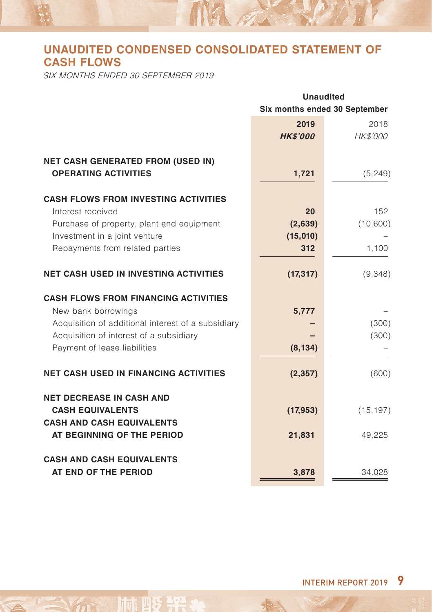# **UNAUDITED CONDENSED CONSOLIDATED STATEMENT OF CASH FLOWS**

MA on

SIX MONTHS ENDED 30 SEPTEMBER 2019

|                                                                                                                                                                                                     | <b>Unaudited</b><br>Six months ended 30 September |                         |  |
|-----------------------------------------------------------------------------------------------------------------------------------------------------------------------------------------------------|---------------------------------------------------|-------------------------|--|
|                                                                                                                                                                                                     | 2019<br><b>HK\$'000</b>                           | 2018<br><b>HK\$'000</b> |  |
| <b>NET CASH GENERATED FROM (USED IN)</b><br><b>OPERATING ACTIVITIES</b>                                                                                                                             | 1,721                                             | (5, 249)                |  |
| <b>CASH FLOWS FROM INVESTING ACTIVITIES</b><br>Interest received<br>Purchase of property, plant and equipment                                                                                       | 20<br>(2,639)                                     | 152<br>(10,600)         |  |
| Investment in a joint venture<br>Repayments from related parties                                                                                                                                    | (15,010)<br>312                                   | 1,100                   |  |
| <b>NET CASH USED IN INVESTING ACTIVITIES</b>                                                                                                                                                        | (17, 317)                                         | (9,348)                 |  |
| <b>CASH FLOWS FROM FINANCING ACTIVITIES</b><br>New bank borrowings<br>Acquisition of additional interest of a subsidiary<br>Acquisition of interest of a subsidiary<br>Payment of lease liabilities | 5,777<br>(8, 134)                                 | (300)<br>(300)          |  |
| <b>NET CASH USED IN FINANCING ACTIVITIES</b>                                                                                                                                                        | (2, 357)                                          | (600)                   |  |
| <b>NET DECREASE IN CASH AND</b><br><b>CASH EQUIVALENTS</b><br><b>CASH AND CASH EQUIVALENTS</b><br>AT BEGINNING OF THE PERIOD                                                                        | (17, 953)<br>21,831                               | (15, 197)<br>49,225     |  |
| <b>CASH AND CASH EQUIVALENTS</b><br>AT END OF THE PERIOD                                                                                                                                            | 3,878                                             | 34,028                  |  |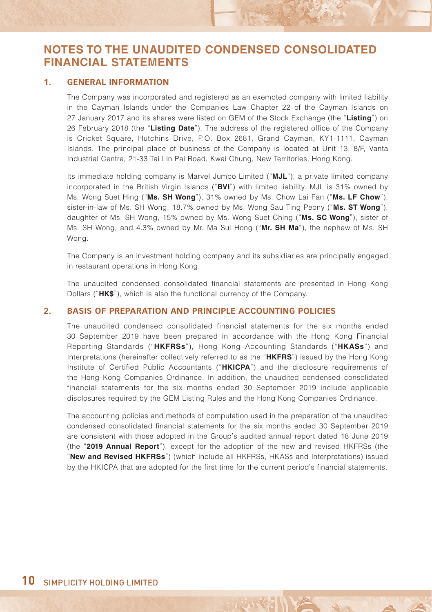#### **1. GENERAL INFORMATION**

The Company was incorporated and registered as an exempted company with limited liability in the Cayman Islands under the Companies Law Chapter 22 of the Cayman Islands on 27 January 2017 and its shares were listed on GEM of the Stock Exchange (the "**Listing**") on 26 February 2018 (the "**Listing Date**"). The address of the registered office of the Company is Cricket Square, Hutchins Drive, P.O. Box 2681, Grand Cayman, KY1-1111, Cayman Islands. The principal place of business of the Company is located at Unit 13, 8/F, Vanta Industrial Centre, 21-33 Tai Lin Pai Road, Kwai Chung, New Territories, Hong Kong.

Its immediate holding company is Marvel Jumbo Limited ("**MJL**"), a private limited company incorporated in the British Virgin Islands ("**BVI**") with limited liability. MJL is 31% owned by Ms. Wong Suet Hing ("**Ms. SH Wong**"), 31% owned by Ms. Chow Lai Fan ("**Ms. LF Chow**"), sister-in-law of Ms. SH Wong, 18.7% owned by Ms. Wong Sau Ting Peony ("**Ms. ST Wong**"), daughter of Ms. SH Wong, 15% owned by Ms. Wong Suet Ching ("**Ms. SC Wong**"), sister of Ms. SH Wong, and 4.3% owned by Mr. Ma Sui Hong ("**Mr. SH Ma**"), the nephew of Ms. SH Wong

The Company is an investment holding company and its subsidiaries are principally engaged in restaurant operations in Hong Kong.

The unaudited condensed consolidated financial statements are presented in Hong Kong Dollars ("**HK\$**"), which is also the functional currency of the Company.

#### **2. BASIS OF PREPARATION AND PRINCIPLE ACCOUNTING POLICIES**

The unaudited condensed consolidated financial statements for the six months ended 30 September 2019 have been prepared in accordance with the Hong Kong Financial Reporting Standards ("**HKFRSs**"), Hong Kong Accounting Standards ("**HKASs**") and Interpretations (hereinafter collectively referred to as the "**HKFRS**") issued by the Hong Kong Institute of Certified Public Accountants ("**HKICPA**") and the disclosure requirements of the Hong Kong Companies Ordinance. In addition, the unaudited condensed consolidated financial statements for the six months ended 30 September 2019 include applicable disclosures required by the GEM Listing Rules and the Hong Kong Companies Ordinance.

The accounting policies and methods of computation used in the preparation of the unaudited condensed consolidated financial statements for the six months ended 30 September 2019 are consistent with those adopted in the Group's audited annual report dated 18 June 2019 (the "**2019 Annual Report**"), except for the adoption of the new and revised HKFRSs (the "**New and Revised HKFRSs**") (which include all HKFRSs, HKASs and Interpretations) issued by the HKICPA that are adopted for the first time for the current period's financial statements.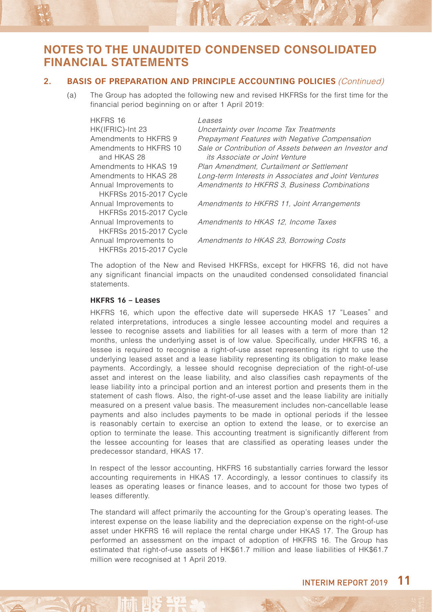#### **2. BASIS OF PREPARATION AND PRINCIPLE ACCOUNTING POLICIES** (Continued)

(a) The Group has adopted the following new and revised HKFRSs for the first time for the financial period beginning on or after 1 April 2019:

NEL 27

| HKFRS 16                      | Leases                                                 |
|-------------------------------|--------------------------------------------------------|
| HK(IFRIC)-Int 23              | Uncertainty over Income Tax Treatments                 |
| Amendments to HKFRS 9         | Prepayment Features with Negative Compensation         |
| Amendments to HKFRS 10        | Sale or Contribution of Assets between an Investor and |
| and HKAS 28                   | its Associate or Joint Venture                         |
| Amendments to HKAS 19         | Plan Amendment, Curtailment or Settlement              |
| Amendments to HKAS 28         | Long-term Interests in Associates and Joint Ventures   |
| Annual Improvements to        | Amendments to HKFRS 3. Business Combinations           |
| <b>HKFRSs 2015-2017 Cycle</b> |                                                        |
| Annual Improvements to        | Amendments to HKFRS 11, Joint Arrangements             |
| <b>HKFRSs 2015-2017 Cycle</b> |                                                        |
| Annual Improvements to        | Amendments to HKAS 12. Income Taxes                    |
| <b>HKFRSs 2015-2017 Cycle</b> |                                                        |
| Annual Improvements to        | Amendments to HKAS 23, Borrowing Costs                 |
| <b>HKFRSs 2015-2017 Cycle</b> |                                                        |

The adoption of the New and Revised HKFRSs, except for HKFRS 16, did not have any significant financial impacts on the unaudited condensed consolidated financial statements.

#### **HKFRS 16 – Leases**

HKFRS 16, which upon the effective date will supersede HKAS 17 "Leases" and related interpretations, introduces a single lessee accounting model and requires a lessee to recognise assets and liabilities for all leases with a term of more than 12 months, unless the underlying asset is of low value. Specifically, under HKFRS 16, a lessee is required to recognise a right-of-use asset representing its right to use the underlying leased asset and a lease liability representing its obligation to make lease payments. Accordingly, a lessee should recognise depreciation of the right-of-use asset and interest on the lease liability, and also classifies cash repayments of the lease liability into a principal portion and an interest portion and presents them in the statement of cash flows. Also, the right-of-use asset and the lease liability are initially measured on a present value basis. The measurement includes non-cancellable lease payments and also includes payments to be made in optional periods if the lessee is reasonably certain to exercise an option to extend the lease, or to exercise an option to terminate the lease. This accounting treatment is significantly different from the lessee accounting for leases that are classified as operating leases under the predecessor standard, HKAS 17.

In respect of the lessor accounting, HKFRS 16 substantially carries forward the lessor accounting requirements in HKAS 17. Accordingly, a lessor continues to classify its leases as operating leases or finance leases, and to account for those two types of leases differently.

The standard will affect primarily the accounting for the Group's operating leases. The interest expense on the lease liability and the depreciation expense on the right-of-use asset under HKFRS 16 will replace the rental charge under HKAS 17. The Group has performed an assessment on the impact of adoption of HKFRS 16. The Group has estimated that right-of-use assets of HK\$61.7 million and lease liabilities of HK\$61.7 million were recognised at 1 April 2019.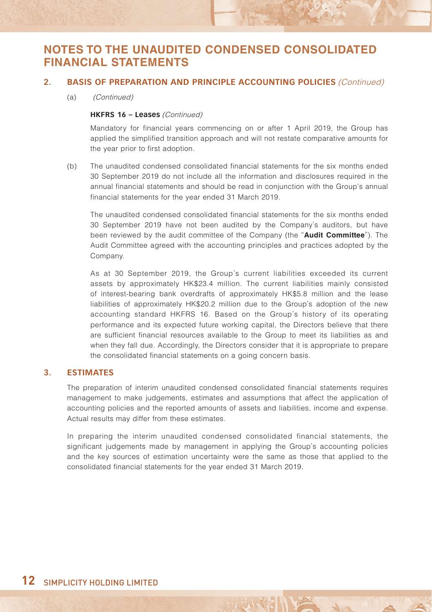#### **2. BASIS OF PREPARATION AND PRINCIPLE ACCOUNTING POLICIES** (Continued)

(a) (Continued)

#### **HKFRS 16 – Leases** (Continued)

Mandatory for financial years commencing on or after 1 April 2019, the Group has applied the simplified transition approach and will not restate comparative amounts for the year prior to first adoption.

(b) The unaudited condensed consolidated financial statements for the six months ended 30 September 2019 do not include all the information and disclosures required in the annual financial statements and should be read in conjunction with the Group's annual financial statements for the year ended 31 March 2019.

The unaudited condensed consolidated financial statements for the six months ended 30 September 2019 have not been audited by the Company's auditors, but have been reviewed by the audit committee of the Company (the "**Audit Committee**"). The Audit Committee agreed with the accounting principles and practices adopted by the Company.

As at 30 September 2019, the Group's current liabilities exceeded its current assets by approximately HK\$23.4 million. The current liabilities mainly consisted of interest-bearing bank overdrafts of approximately HK\$5.8 million and the lease liabilities of approximately HK\$20.2 million due to the Group's adoption of the new accounting standard HKFRS 16. Based on the Group's history of its operating performance and its expected future working capital, the Directors believe that there are sufficient financial resources available to the Group to meet its liabilities as and when they fall due. Accordingly, the Directors consider that it is appropriate to prepare the consolidated financial statements on a going concern basis.

#### **3. ESTIMATES**

The preparation of interim unaudited condensed consolidated financial statements requires management to make judgements, estimates and assumptions that affect the application of accounting policies and the reported amounts of assets and liabilities, income and expense. Actual results may differ from these estimates.

In preparing the interim unaudited condensed consolidated financial statements, the significant judgements made by management in applying the Group's accounting policies and the key sources of estimation uncertainty were the same as those that applied to the consolidated financial statements for the year ended 31 March 2019.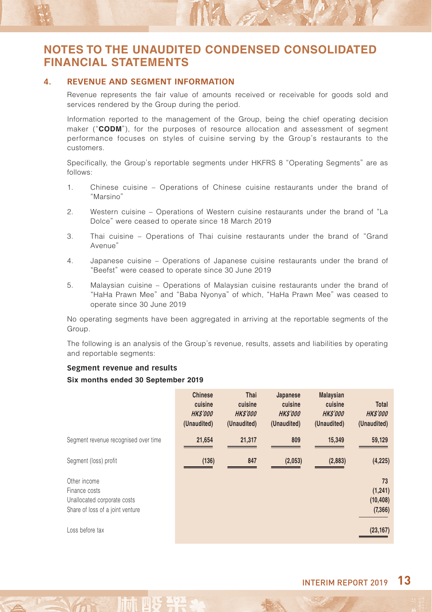#### **4. REVENUE AND SEGMENT INFORMATION**

Revenue represents the fair value of amounts received or receivable for goods sold and services rendered by the Group during the period.

M.

Information reported to the management of the Group, being the chief operating decision maker ("**CODM**"), for the purposes of resource allocation and assessment of segment performance focuses on styles of cuisine serving by the Group's restaurants to the customers.

Specifically, the Group's reportable segments under HKFRS 8 "Operating Segments" are as follows:

- 1. Chinese cuisine Operations of Chinese cuisine restaurants under the brand of "Marsino"
- 2. Western cuisine Operations of Western cuisine restaurants under the brand of "La Dolce" were ceased to operate since 18 March 2019
- 3. Thai cuisine Operations of Thai cuisine restaurants under the brand of "Grand Avenue"
- 4. Japanese cuisine Operations of Japanese cuisine restaurants under the brand of "Beefst" were ceased to operate since 30 June 2019
- 5. Malaysian cuisine Operations of Malaysian cuisine restaurants under the brand of "HaHa Prawn Mee" and "Baba Nyonya" of which, "HaHa Prawn Mee" was ceased to operate since 30 June 2019

No operating segments have been aggregated in arriving at the reportable segments of the Group.

The following is an analysis of the Group's revenue, results, assets and liabilities by operating and reportable segments:

#### **Segment revenue and results**

#### **Six months ended 30 September 2019**

|                                                                                                  | <b>Chinese</b><br>cuisine<br><b>HKS'000</b><br>(Unaudited) | Thai<br>cuisine<br><b>HKS'000</b><br>(Unaudited) | Japanese<br>cuisine<br><b>HKS'000</b><br>(Unaudited) | <b>Malaysian</b><br>cuisine<br><b>HKS'000</b><br>(Unaudited) | Total<br><b>HKS'000</b><br>(Unaudited) |
|--------------------------------------------------------------------------------------------------|------------------------------------------------------------|--------------------------------------------------|------------------------------------------------------|--------------------------------------------------------------|----------------------------------------|
| Segment revenue recognised over time                                                             | 21,654                                                     | 21,317                                           | 809                                                  | 15,349                                                       | 59,129                                 |
| Segment (loss) profit                                                                            | (136)                                                      | 847                                              | (2,053)                                              | (2,883)                                                      | (4, 225)                               |
| Other income<br>Finance costs<br>Unallocated corporate costs<br>Share of loss of a joint venture |                                                            |                                                  |                                                      |                                                              | 73<br>(1, 241)<br>(10, 408)<br>(7,366) |
| Loss before tax                                                                                  |                                                            |                                                  |                                                      |                                                              | (23, 167)                              |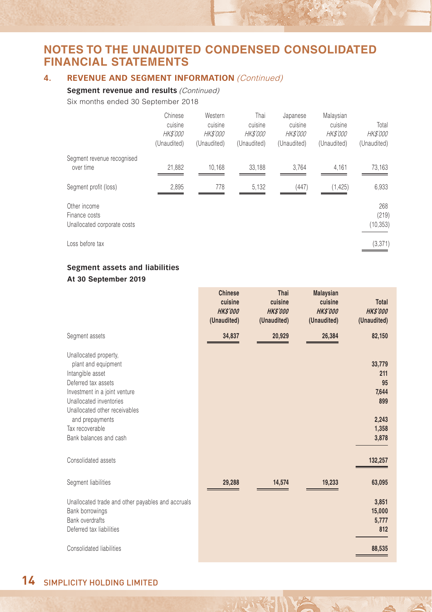#### **4. REVENUE AND SEGMENT INFORMATION (Continued)**

#### **Segment revenue and results (Continued)**

Six months ended 30 September 2018

|                                              | Chinese<br>cuisine<br><b>HK\$'000</b><br>(Unaudited) | Western<br>cuisine<br><b>HK\$'000</b><br>(Unaudited) | Thai<br>cuisine<br><b>HK\$'000</b><br>(Unaudited) | Japanese<br>cuisine<br><b>HK\$'000</b><br>(Unaudited) | Malaysian<br>cuisine<br><i>HK\$'000</i><br>(Unaudited) | Total<br><b>HK\$'000</b><br>(Unaudited) |
|----------------------------------------------|------------------------------------------------------|------------------------------------------------------|---------------------------------------------------|-------------------------------------------------------|--------------------------------------------------------|-----------------------------------------|
| Segment revenue recognised                   |                                                      |                                                      |                                                   |                                                       |                                                        |                                         |
| over time                                    | 21,882                                               | 10.168                                               | 33.188                                            | 3.764                                                 | 4,161                                                  | 73,163                                  |
| Segment profit (loss)                        | 2,895                                                | 778                                                  | 5,132                                             | (447)                                                 | (1, 425)                                               | 6,933                                   |
| Other income                                 |                                                      |                                                      |                                                   |                                                       |                                                        | 268                                     |
| Finance costs<br>Unallocated corporate costs |                                                      |                                                      |                                                   |                                                       |                                                        | (219)<br>(10, 353)                      |
| Loss before tax                              |                                                      |                                                      |                                                   |                                                       |                                                        | (3, 371)                                |

#### **Segment assets and liabilities At 30 September 2019**

|                                                                                                                                                                                                                                                      | Chinese<br>cuisine<br><b>HKS'000</b><br>(Unaudited) | Thai<br>cuisine<br><b>HKS'000</b><br>(Unaudited) | <b>Malaysian</b><br>cuisine<br><b>HKS'000</b><br>(Unaudited) | <b>Total</b><br><b>HKS'000</b><br>(Unaudited)                  |
|------------------------------------------------------------------------------------------------------------------------------------------------------------------------------------------------------------------------------------------------------|-----------------------------------------------------|--------------------------------------------------|--------------------------------------------------------------|----------------------------------------------------------------|
| Segment assets                                                                                                                                                                                                                                       | 34,837                                              | 20,929                                           | 26,384                                                       | 82,150                                                         |
| Unallocated property,<br>plant and equipment<br>Intangible asset<br>Deferred tax assets<br>Investment in a joint venture<br>Unallocated inventories<br>Unallocated other receivables<br>and prepayments<br>Tax recoverable<br>Bank balances and cash |                                                     |                                                  |                                                              | 33,779<br>211<br>95<br>7,644<br>899<br>2,243<br>1,358<br>3,878 |
| Consolidated assets                                                                                                                                                                                                                                  |                                                     |                                                  |                                                              | 132,257                                                        |
| Segment liabilities                                                                                                                                                                                                                                  | 29,288                                              | 14,574                                           | 19,233                                                       | 63,095                                                         |
| Unallocated trade and other payables and accruals<br>Bank borrowings<br><b>Bank overdrafts</b><br>Deferred tax liabilities<br>Consolidated liabilities                                                                                               |                                                     |                                                  |                                                              | 3,851<br>15,000<br>5,777<br>812<br>88,535                      |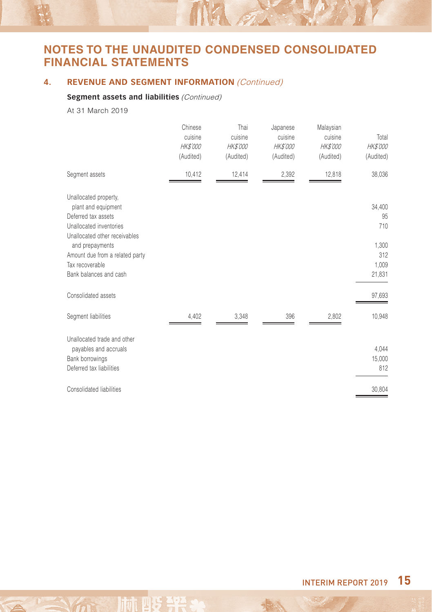MA A

### **4. REVENUE AND SEGMENT INFORMATION** *(Continued)*

### **Segment assets and liabilities** (Continued)

At 31 March 2019

|                                                                                                                                                                                                                                    | Chinese<br>cuisine<br><b>HK\$'000</b><br>(Audited) | Thai<br>cuisine<br>HK\$'000<br>(Audited) | Japanese<br>cuisine<br>HK\$'000<br>(Audited) | Malaysian<br>cuisine<br><b>HK\$'000</b><br>(Audited) | Total<br>HK\$'000<br>(Audited)                         |
|------------------------------------------------------------------------------------------------------------------------------------------------------------------------------------------------------------------------------------|----------------------------------------------------|------------------------------------------|----------------------------------------------|------------------------------------------------------|--------------------------------------------------------|
| Segment assets                                                                                                                                                                                                                     | 10,412                                             | 12,414                                   | 2,392                                        | 12,818                                               | 38,036                                                 |
| Unallocated property,<br>plant and equipment<br>Deferred tax assets<br>Unallocated inventories<br>Unallocated other receivables<br>and prepayments<br>Amount due from a related party<br>Tax recoverable<br>Bank balances and cash |                                                    |                                          |                                              |                                                      | 34,400<br>95<br>710<br>1,300<br>312<br>1,009<br>21,831 |
| Consolidated assets                                                                                                                                                                                                                |                                                    |                                          |                                              |                                                      | 97,693                                                 |
| Segment liabilities                                                                                                                                                                                                                | 4,402                                              | 3,348                                    | 396                                          | 2,802                                                | 10,948                                                 |
| Unallocated trade and other<br>payables and accruals<br>Bank borrowings<br>Deferred tax liabilities                                                                                                                                |                                                    |                                          |                                              |                                                      | 4,044<br>15,000<br>812                                 |
| Consolidated liabilities                                                                                                                                                                                                           |                                                    |                                          |                                              |                                                      | 30,804                                                 |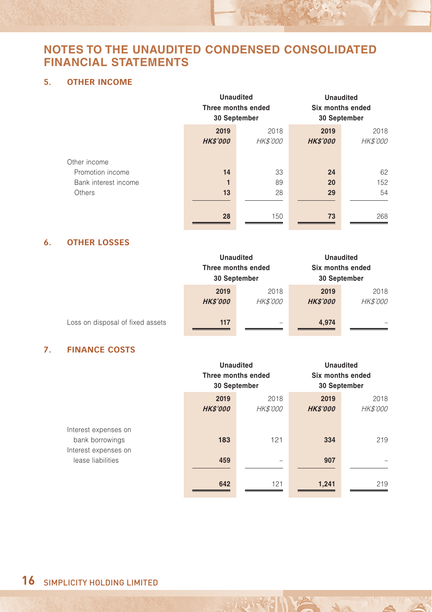### **5. OTHER INCOME**

|                      | <b>Unaudited</b><br>Three months ended<br>30 September |          | <b>Unaudited</b><br>Six months ended<br>30 September |                 |
|----------------------|--------------------------------------------------------|----------|------------------------------------------------------|-----------------|
|                      | 2019                                                   | 2018     | 2019                                                 | 2018            |
|                      | <b>HK\$'000</b>                                        | HK\$'000 | <b>HK\$'000</b>                                      | <b>HK\$'000</b> |
|                      |                                                        |          |                                                      |                 |
| Other income         |                                                        |          |                                                      |                 |
| Promotion income     | 14                                                     | 33       | 24                                                   | 62              |
| Bank interest income |                                                        | 89       | 20                                                   | 152             |
| Others               | 13                                                     | 28       | 29                                                   | 54              |
|                      |                                                        |          |                                                      |                 |
|                      | 28                                                     | 150      | 73                                                   | 268             |

#### **6. OTHER LOSSES**

|                                  | <b>Unaudited</b><br>Three months ended<br>30 September |                          | Six months ended<br>30 September | <b>Unaudited</b>        |
|----------------------------------|--------------------------------------------------------|--------------------------|----------------------------------|-------------------------|
|                                  | 2019<br><b>HK\$'000</b>                                | 2018<br>HK\$'000         | 2019<br><b>HK\$'000</b>          | 2018<br><b>HK\$'000</b> |
| Loss on disposal of fixed assets | 117                                                    | $\overline{\phantom{a}}$ | 4,974                            |                         |

### **7. FINANCE COSTS**

|                                                                 |                         | <b>Unaudited</b><br>Three months ended<br>30 September |                         | <b>Unaudited</b><br>Six months ended<br>30 September |  |
|-----------------------------------------------------------------|-------------------------|--------------------------------------------------------|-------------------------|------------------------------------------------------|--|
|                                                                 | 2019<br><b>HK\$'000</b> | 2018<br>HK\$'000                                       | 2019<br><b>HK\$'000</b> | 2018<br><b>HK\$'000</b>                              |  |
| Interest expenses on<br>bank borrowings<br>Interest expenses on | 183                     | 121                                                    | 334                     | 219                                                  |  |
| lease liabilities                                               | 459                     | -                                                      | 907                     |                                                      |  |
|                                                                 | 642                     | 121                                                    | 1,241                   | 219                                                  |  |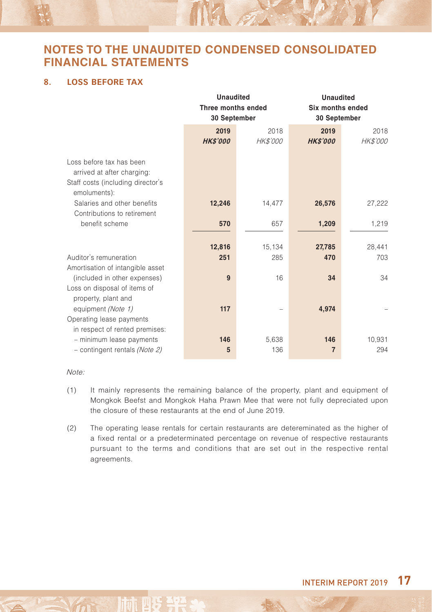$\mathbb{N}$ 

#### **8. LOSS BEFORE TAX**

|                                   | <b>Unaudited</b>   |                 |                  | <b>Unaudited</b> |  |
|-----------------------------------|--------------------|-----------------|------------------|------------------|--|
|                                   | Three months ended |                 | Six months ended |                  |  |
|                                   | 30 September       |                 |                  | 30 September     |  |
|                                   | 2019               | 2018            | 2019             | 2018             |  |
|                                   | <b>HKS'000</b>     | <b>HK\$'000</b> | <b>HKS'000</b>   | HK\$'000         |  |
|                                   |                    |                 |                  |                  |  |
| Loss before tax has been          |                    |                 |                  |                  |  |
| arrived at after charging:        |                    |                 |                  |                  |  |
| Staff costs (including director's |                    |                 |                  |                  |  |
| emoluments):                      |                    |                 |                  |                  |  |
| Salaries and other benefits       | 12,246             | 14,477          | 26,576           | 27,222           |  |
| Contributions to retirement       |                    |                 |                  |                  |  |
| benefit scheme                    | 570                | 657             | 1,209            | 1,219            |  |
|                                   |                    |                 |                  |                  |  |
|                                   | 12,816             | 15,134          | 27,785           | 28,441           |  |
| Auditor's remuneration            | 251                | 285             | 470              | 703              |  |
| Amortisation of intangible asset  |                    |                 |                  |                  |  |
| (included in other expenses)      | 9                  | 16              | 34               | 34               |  |
| Loss on disposal of items of      |                    |                 |                  |                  |  |
| property, plant and               |                    |                 |                  |                  |  |
| equipment (Note 1)                | 117                |                 | 4,974            |                  |  |
| Operating lease payments          |                    |                 |                  |                  |  |
| in respect of rented premises:    |                    |                 |                  |                  |  |
| - minimum lease payments          | 146                | 5,638           | 146              | 10,931           |  |
| - contingent rentals (Note 2)     | 5                  | 136             | $\overline{7}$   | 294              |  |

#### Note:

- (1) It mainly represents the remaining balance of the property, plant and equipment of Mongkok Beefst and Mongkok Haha Prawn Mee that were not fully depreciated upon the closure of these restaurants at the end of June 2019.
- (2) The operating lease rentals for certain restaurants are detereminated as the higher of a fixed rental or a predeterminated percentage on revenue of respective restaurants pursuant to the terms and conditions that are set out in the respective rental agreements.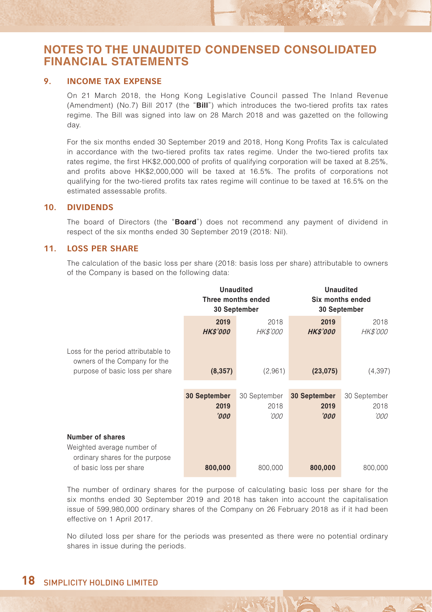#### **9. INCOME TAX EXPENSE**

On 21 March 2018, the Hong Kong Legislative Council passed The Inland Revenue (Amendment) (No.7) Bill 2017 (the "**Bill**") which introduces the two-tiered profits tax rates regime. The Bill was signed into law on 28 March 2018 and was gazetted on the following day.

For the six months ended 30 September 2019 and 2018, Hong Kong Profits Tax is calculated in accordance with the two-tiered profits tax rates regime. Under the two-tiered profits tax rates regime, the first HK\$2,000,000 of profits of qualifying corporation will be taxed at 8.25%, and profits above HK\$2,000,000 will be taxed at 16.5%. The profits of corporations not qualifying for the two-tiered profits tax rates regime will continue to be taxed at 16.5% on the estimated assessable profits.

#### **10. DIVIDENDS**

The board of Directors (the "**Board**") does not recommend any payment of dividend in respect of the six months ended 30 September 2019 (2018: Nil).

#### **11. LOSS PER SHARE**

The calculation of the basic loss per share (2018: basis loss per share) attributable to owners of the Company is based on the following data:

|                                                                                                         | <b>Unaudited</b><br>Three months ended<br>30 September |                         | <b>Unaudited</b><br>Six months ended<br>30 September |                  |
|---------------------------------------------------------------------------------------------------------|--------------------------------------------------------|-------------------------|------------------------------------------------------|------------------|
|                                                                                                         | 2019<br><b>HKS'000</b>                                 | 2018<br><b>HK\$'000</b> | 2019<br><b>HKS'000</b>                               | 2018<br>HK\$'000 |
| Loss for the period attributable to<br>owners of the Company for the<br>purpose of basic loss per share | (8,357)                                                | (2,961)                 | (23, 075)                                            | (4, 397)         |
|                                                                                                         | 30 September                                           | 30 September            | 30 September                                         | 30 September     |
|                                                                                                         | 2019                                                   | 2018                    | 2019                                                 | 2018             |
|                                                                                                         | '000'                                                  | '000                    | '000                                                 | '000             |
| Number of shares<br>Weighted average number of<br>ordinary shares for the purpose                       |                                                        |                         |                                                      |                  |
| of basic loss per share                                                                                 | 800,000                                                | 800,000                 | 800,000                                              | 800,000          |

The number of ordinary shares for the purpose of calculating basic loss per share for the six months ended 30 September 2019 and 2018 has taken into account the capitalisation issue of 599,980,000 ordinary shares of the Company on 26 February 2018 as if it had been effective on 1 April 2017.

No diluted loss per share for the periods was presented as there were no potential ordinary shares in issue during the periods.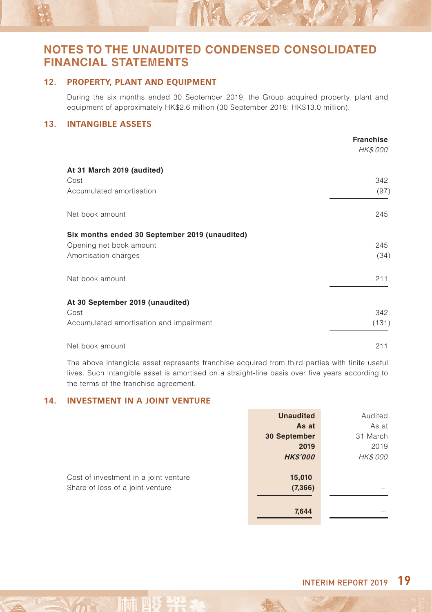#### **12. PROPERTY, PLANT AND EQUIPMENT**

During the six months ended 30 September 2019, the Group acquired property, plant and equipment of approximately HK\$2.6 million (30 September 2018: HK\$13.0 million).

Nil of

#### **13. INTANGIBLE ASSETS**

|                                                | <b>Franchise</b><br><b>HK\$'000</b> |
|------------------------------------------------|-------------------------------------|
| At 31 March 2019 (audited)                     |                                     |
| Cost                                           | 342                                 |
| Accumulated amortisation                       | (97)                                |
| Net book amount                                | 245                                 |
| Six months ended 30 September 2019 (unaudited) |                                     |
| Opening net book amount                        | 245                                 |
| Amortisation charges                           | (34)                                |
| Net book amount                                | 211                                 |
| At 30 September 2019 (unaudited)               |                                     |
| Cost                                           | 342                                 |
| Accumulated amortisation and impairment        | (131)                               |
| Net book amount                                | 211                                 |

The above intangible asset represents franchise acquired from third parties with finite useful lives. Such intangible asset is amortised on a straight-line basis over five years according to the terms of the franchise agreement.

**Unaudited** Audited

#### **14. INVESTMENT IN A JOINT VENTURE**

|                                       | unaudited       | Audited         |
|---------------------------------------|-----------------|-----------------|
|                                       | As at           | As at           |
|                                       | 30 September    | 31 March        |
|                                       | 2019            | 2019            |
|                                       | <b>HK\$'000</b> | <b>HK\$'000</b> |
|                                       |                 |                 |
| Cost of investment in a joint venture | 15,010          |                 |
| Share of loss of a joint venture      | (7, 366)        |                 |
|                                       |                 |                 |
|                                       | 7,644           |                 |
|                                       |                 |                 |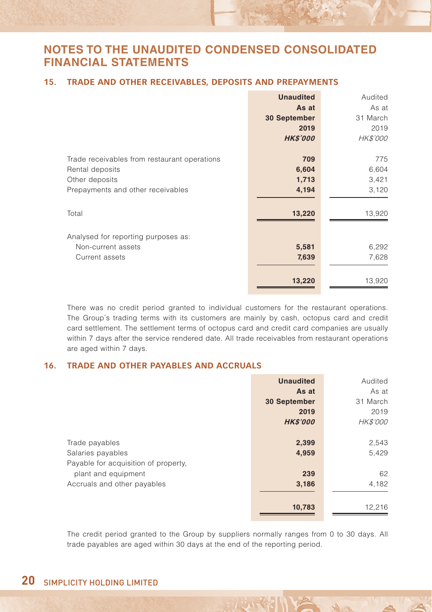#### **15. TRADE AND OTHER RECEIVABLES, DEPOSITS AND PREPAYMENTS**

|                                              | <b>Unaudited</b> | Audited         |
|----------------------------------------------|------------------|-----------------|
|                                              | As at            | As at           |
|                                              | 30 September     | 31 March        |
|                                              | 2019             | 2019            |
|                                              | <b>HK\$'000</b>  | <b>HK\$'000</b> |
| Trade receivables from restaurant operations | 709              | 775             |
| Rental deposits                              | 6,604            | 6,604           |
| Other deposits                               | 1,713            | 3,421           |
| Prepayments and other receivables            | 4,194            | 3,120           |
| Total                                        | 13,220           | 13,920          |
| Analysed for reporting purposes as:          |                  |                 |
| Non-current assets                           | 5,581            | 6,292           |
| Current assets                               | 7,639            | 7,628           |
|                                              | 13,220           | 13,920          |

There was no credit period granted to individual customers for the restaurant operations. The Group's trading terms with its customers are mainly by cash, octopus card and credit card settlement. The settlement terms of octopus card and credit card companies are usually within 7 days after the service rendered date. All trade receivables from restaurant operations are aged within 7 days.

#### **16. TRADE AND OTHER PAYABLES AND ACCRUALS**

|                                      | <b>Unaudited</b> | Audited         |
|--------------------------------------|------------------|-----------------|
|                                      | As at            | As at           |
|                                      | 30 September     | 31 March        |
|                                      | 2019             | 2019            |
|                                      | <b>HK\$'000</b>  | <b>HK\$'000</b> |
|                                      |                  |                 |
| Trade payables                       | 2,399            | 2,543           |
| Salaries payables                    | 4,959            | 5,429           |
| Payable for acquisition of property. |                  |                 |
| plant and equipment                  | 239              | 62              |
| Accruals and other payables          | 3,186            | 4,182           |
|                                      |                  |                 |
|                                      | 10,783           | 12,216          |

The credit period granted to the Group by suppliers normally ranges from 0 to 30 days. All trade payables are aged within 30 days at the end of the reporting period.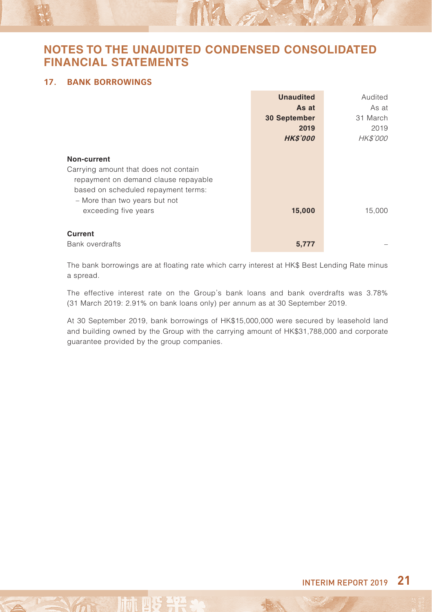W. F.

#### **17. BANK BORROWINGS**

|                                       | <b>Unaudited</b> | Audited  |
|---------------------------------------|------------------|----------|
|                                       | As at            | As at    |
|                                       | 30 September     | 31 March |
|                                       | 2019             | 2019     |
|                                       | <b>HK\$'000</b>  | HK\$'000 |
|                                       |                  |          |
| Non-current                           |                  |          |
| Carrying amount that does not contain |                  |          |
| repayment on demand clause repayable  |                  |          |
| based on scheduled repayment terms:   |                  |          |
| - More than two years but not         |                  |          |
| exceeding five years                  | 15,000           | 15,000   |
|                                       |                  |          |
| Current                               |                  |          |
| <b>Bank overdrafts</b>                | 5.777            |          |

The bank borrowings are at floating rate which carry interest at HK\$ Best Lending Rate minus a spread.

The effective interest rate on the Group's bank loans and bank overdrafts was 3.78% (31 March 2019: 2.91% on bank loans only) per annum as at 30 September 2019.

At 30 September 2019, bank borrowings of HK\$15,000,000 were secured by leasehold land and building owned by the Group with the carrying amount of HK\$31,788,000 and corporate guarantee provided by the group companies.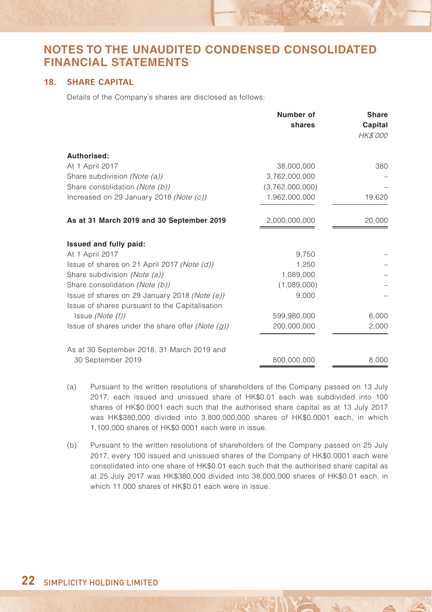#### **18. SHARE CAPITAL**

Details of the Company's shares are disclosed as follows:

|                                                     | Number of<br>shares | <b>Share</b><br>Capital<br><b>HK\$'000</b> |
|-----------------------------------------------------|---------------------|--------------------------------------------|
| Authorised:                                         |                     |                                            |
| At 1 April 2017                                     | 38,000,000          | 380                                        |
| Share subdivision (Note (a))                        | 3,762,000,000       |                                            |
| Share consolidation (Note (b))                      | (3,762,000,000)     |                                            |
| Increased on 29 January 2018 (Note (c))             | 1,962,000,000       | 19,620                                     |
| As at 31 March 2019 and 30 September 2019           | 2,000,000,000       | 20,000                                     |
| Issued and fully paid:                              |                     |                                            |
| At 1 April 2017                                     | 9,750               |                                            |
| Issue of shares on 21 April 2017 (Note (d))         | 1.250               |                                            |
| Share subdivision (Note (a))                        | 1,089,000           |                                            |
| Share consolidation (Note (b))                      | (1,089,000)         |                                            |
| Issue of shares on 29 January 2018 (Note (e))       | 9,000               |                                            |
| Issue of shares pursuant to the Capitalisation      |                     |                                            |
| Issue (Note (f))                                    | 599,980,000         | 6,000                                      |
| Issue of shares under the share offer (Note $(g)$ ) | 200,000,000         | 2,000                                      |
| As at 30 September 2018, 31 March 2019 and          |                     |                                            |
| 30 September 2019                                   | 800,000,000         | 8,000                                      |

- (a) Pursuant to the written resolutions of shareholders of the Company passed on 13 July 2017, each issued and unissued share of HK\$0.01 each was subdivided into 100 shares of HK\$0.0001 each such that the authorised share capital as at 13 July 2017 was HK\$380,000 divided into 3,800,000,000 shares of HK\$0.0001 each, in which 1,100,000 shares of HK\$0.0001 each were in issue.
- (b) Pursuant to the written resolutions of shareholders of the Company passed on 25 July 2017, every 100 issued and unissued shares of the Company of HK\$0.0001 each were consolidated into one share of HK\$0.01 each such that the authorised share capital as at 25 July 2017 was HK\$380,000 divided into 38,000,000 shares of HK\$0.01 each, in which 11,000 shares of HK\$0.01 each were in issue.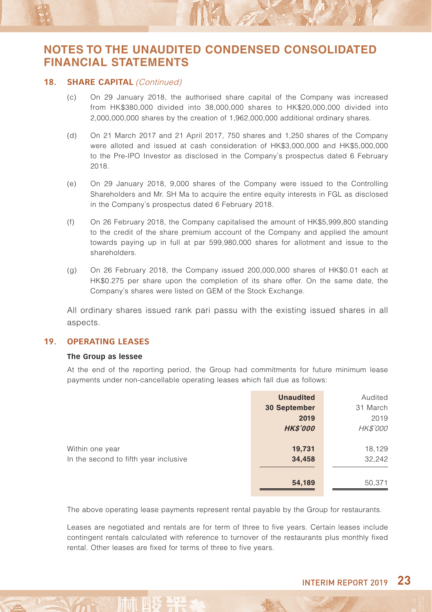#### 18. SHARE CAPITAL (Continued)

(c) On 29 January 2018, the authorised share capital of the Company was increased from HK\$380,000 divided into 38,000,000 shares to HK\$20,000,000 divided into 2,000,000,000 shares by the creation of 1,962,000,000 additional ordinary shares.

NA on

- (d) On 21 March 2017 and 21 April 2017, 750 shares and 1,250 shares of the Company were alloted and issued at cash consideration of HK\$3,000,000 and HK\$5,000,000 to the Pre-IPO Investor as disclosed in the Company's prospectus dated 6 February 2018.
- (e) On 29 January 2018, 9,000 shares of the Company were issued to the Controlling Shareholders and Mr. SH Ma to acquire the entire equity interests in FGL as disclosed in the Company's prospectus dated 6 February 2018.
- (f) On 26 February 2018, the Company capitalised the amount of HK\$5,999,800 standing to the credit of the share premium account of the Company and applied the amount towards paying up in full at par 599,980,000 shares for allotment and issue to the shareholders.
- (g) On 26 February 2018, the Company issued 200,000,000 shares of HK\$0.01 each at HK\$0.275 per share upon the completion of its share offer. On the same date, the Company's shares were listed on GEM of the Stock Exchange.

All ordinary shares issued rank pari passu with the existing issued shares in all aspects.

#### **19. OPERATING LEASES**

#### **The Group as lessee**

At the end of the reporting period, the Group had commitments for future minimum lease payments under non-cancellable operating leases which fall due as follows:

|                                       | <b>Unaudited</b> | Audited  |
|---------------------------------------|------------------|----------|
|                                       | 30 September     | 31 March |
|                                       | 2019             | 2019     |
|                                       | <b>HK\$'000</b>  | HK\$'000 |
|                                       |                  |          |
| Within one year                       | 19,731           | 18,129   |
| In the second to fifth year inclusive | 34,458           | 32,242   |
|                                       |                  |          |
|                                       | 54,189           | 50,371   |

The above operating lease payments represent rental payable by the Group for restaurants.

Leases are negotiated and rentals are for term of three to five years. Certain leases include contingent rentals calculated with reference to turnover of the restaurants plus monthly fixed rental. Other leases are fixed for terms of three to five years.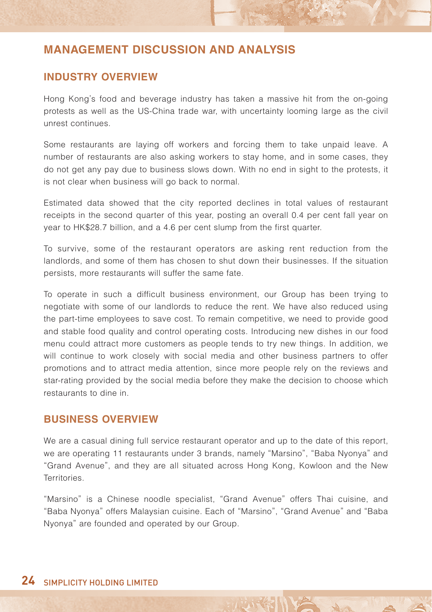### **INDUSTRY OVERVIEW**

Hong Kong's food and beverage industry has taken a massive hit from the on-going protests as well as the US-China trade war, with uncertainty looming large as the civil unrest continues.

Some restaurants are laying off workers and forcing them to take unpaid leave. A number of restaurants are also asking workers to stay home, and in some cases, they do not get any pay due to business slows down. With no end in sight to the protests, it is not clear when business will go back to normal.

Estimated data showed that the city reported declines in total values of restaurant receipts in the second quarter of this year, posting an overall 0.4 per cent fall year on year to HK\$28.7 billion, and a 4.6 per cent slump from the first quarter.

To survive, some of the restaurant operators are asking rent reduction from the landlords, and some of them has chosen to shut down their businesses. If the situation persists, more restaurants will suffer the same fate.

To operate in such a difficult business environment, our Group has been trying to negotiate with some of our landlords to reduce the rent. We have also reduced using the part-time employees to save cost. To remain competitive, we need to provide good and stable food quality and control operating costs. Introducing new dishes in our food menu could attract more customers as people tends to try new things. In addition, we will continue to work closely with social media and other business partners to offer promotions and to attract media attention, since more people rely on the reviews and star-rating provided by the social media before they make the decision to choose which restaurants to dine in.

### **BUSINESS OVERVIEW**

We are a casual dining full service restaurant operator and up to the date of this report, we are operating 11 restaurants under 3 brands, namely "Marsino", "Baba Nyonya" and "Grand Avenue", and they are all situated across Hong Kong, Kowloon and the New Territories.

"Marsino" is a Chinese noodle specialist, "Grand Avenue" offers Thai cuisine, and "Baba Nyonya" offers Malaysian cuisine. Each of "Marsino", "Grand Avenue" and "Baba Nyonya" are founded and operated by our Group.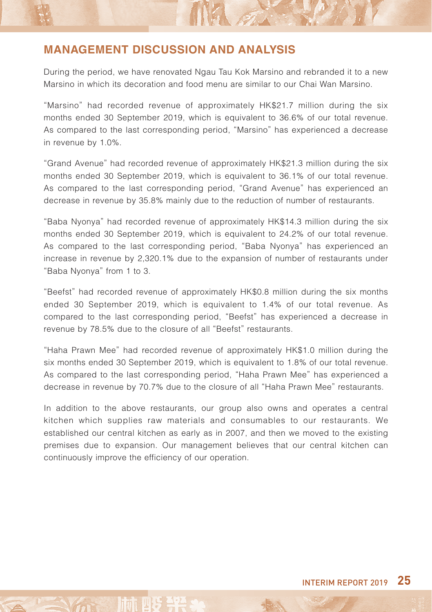During the period, we have renovated Ngau Tau Kok Marsino and rebranded it to a new Marsino in which its decoration and food menu are similar to our Chai Wan Marsino.

NA 2

"Marsino" had recorded revenue of approximately HK\$21.7 million during the six months ended 30 September 2019, which is equivalent to 36.6% of our total revenue. As compared to the last corresponding period, "Marsino" has experienced a decrease in revenue by 1.0%.

"Grand Avenue" had recorded revenue of approximately HK\$21.3 million during the six months ended 30 September 2019, which is equivalent to 36.1% of our total revenue. As compared to the last corresponding period, "Grand Avenue" has experienced an decrease in revenue by 35.8% mainly due to the reduction of number of restaurants.

"Baba Nyonya" had recorded revenue of approximately HK\$14.3 million during the six months ended 30 September 2019, which is equivalent to 24.2% of our total revenue. As compared to the last corresponding period, "Baba Nyonya" has experienced an increase in revenue by 2,320.1% due to the expansion of number of restaurants under "Baba Nyonya" from 1 to 3.

"Beefst" had recorded revenue of approximately HK\$0.8 million during the six months ended 30 September 2019, which is equivalent to 1.4% of our total revenue. As compared to the last corresponding period, "Beefst" has experienced a decrease in revenue by 78.5% due to the closure of all "Beefst" restaurants.

"Haha Prawn Mee" had recorded revenue of approximately HK\$1.0 million during the six months ended 30 September 2019, which is equivalent to 1.8% of our total revenue. As compared to the last corresponding period, "Haha Prawn Mee" has experienced a decrease in revenue by 70.7% due to the closure of all "Haha Prawn Mee" restaurants.

In addition to the above restaurants, our group also owns and operates a central kitchen which supplies raw materials and consumables to our restaurants. We established our central kitchen as early as in 2007, and then we moved to the existing premises due to expansion. Our management believes that our central kitchen can continuously improve the efficiency of our operation.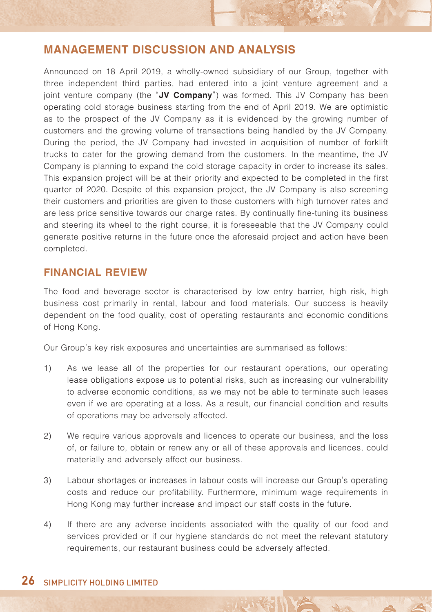Announced on 18 April 2019, a wholly-owned subsidiary of our Group, together with three independent third parties, had entered into a joint venture agreement and a joint venture company (the "**JV Company**") was formed. This JV Company has been operating cold storage business starting from the end of April 2019. We are optimistic as to the prospect of the JV Company as it is evidenced by the growing number of customers and the growing volume of transactions being handled by the JV Company. During the period, the JV Company had invested in acquisition of number of forklift trucks to cater for the growing demand from the customers. In the meantime, the JV Company is planning to expand the cold storage capacity in order to increase its sales. This expansion project will be at their priority and expected to be completed in the first quarter of 2020. Despite of this expansion project, the JV Company is also screening their customers and priorities are given to those customers with high turnover rates and are less price sensitive towards our charge rates. By continually fine-tuning its business and steering its wheel to the right course, it is foreseeable that the JV Company could generate positive returns in the future once the aforesaid project and action have been completed.

### **FINANCIAL REVIEW**

The food and beverage sector is characterised by low entry barrier, high risk, high business cost primarily in rental, labour and food materials. Our success is heavily dependent on the food quality, cost of operating restaurants and economic conditions of Hong Kong.

Our Group's key risk exposures and uncertainties are summarised as follows:

- 1) As we lease all of the properties for our restaurant operations, our operating lease obligations expose us to potential risks, such as increasing our vulnerability to adverse economic conditions, as we may not be able to terminate such leases even if we are operating at a loss. As a result, our financial condition and results of operations may be adversely affected.
- 2) We require various approvals and licences to operate our business, and the loss of, or failure to, obtain or renew any or all of these approvals and licences, could materially and adversely affect our business.
- 3) Labour shortages or increases in labour costs will increase our Group's operating costs and reduce our profitability. Furthermore, minimum wage requirements in Hong Kong may further increase and impact our staff costs in the future.
- 4) If there are any adverse incidents associated with the quality of our food and services provided or if our hygiene standards do not meet the relevant statutory requirements, our restaurant business could be adversely affected.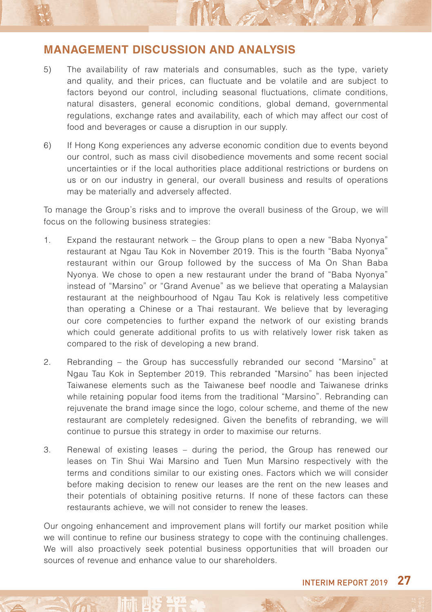5) The availability of raw materials and consumables, such as the type, variety and quality, and their prices, can fluctuate and be volatile and are subject to factors beyond our control, including seasonal fluctuations, climate conditions, natural disasters, general economic conditions, global demand, governmental regulations, exchange rates and availability, each of which may affect our cost of food and beverages or cause a disruption in our supply.

**MAR** 

6) If Hong Kong experiences any adverse economic condition due to events beyond our control, such as mass civil disobedience movements and some recent social uncertainties or if the local authorities place additional restrictions or burdens on us or on our industry in general, our overall business and results of operations may be materially and adversely affected.

To manage the Group's risks and to improve the overall business of the Group, we will focus on the following business strategies:

- 1. Expand the restaurant network the Group plans to open a new "Baba Nyonya" restaurant at Ngau Tau Kok in November 2019. This is the fourth "Baba Nyonya" restaurant within our Group followed by the success of Ma On Shan Baba Nyonya. We chose to open a new restaurant under the brand of "Baba Nyonya" instead of "Marsino" or "Grand Avenue" as we believe that operating a Malaysian restaurant at the neighbourhood of Ngau Tau Kok is relatively less competitive than operating a Chinese or a Thai restaurant. We believe that by leveraging our core competencies to further expand the network of our existing brands which could generate additional profits to us with relatively lower risk taken as compared to the risk of developing a new brand.
- 2. Rebranding the Group has successfully rebranded our second "Marsino" at Ngau Tau Kok in September 2019. This rebranded "Marsino" has been injected Taiwanese elements such as the Taiwanese beef noodle and Taiwanese drinks while retaining popular food items from the traditional "Marsino". Rebranding can rejuvenate the brand image since the logo, colour scheme, and theme of the new restaurant are completely redesigned. Given the benefits of rebranding, we will continue to pursue this strategy in order to maximise our returns.
- 3. Renewal of existing leases during the period, the Group has renewed our leases on Tin Shui Wai Marsino and Tuen Mun Marsino respectively with the terms and conditions similar to our existing ones. Factors which we will consider before making decision to renew our leases are the rent on the new leases and their potentials of obtaining positive returns. If none of these factors can these restaurants achieve, we will not consider to renew the leases.

Our ongoing enhancement and improvement plans will fortify our market position while we will continue to refine our business strategy to cope with the continuing challenges. We will also proactively seek potential business opportunities that will broaden our sources of revenue and enhance value to our shareholders.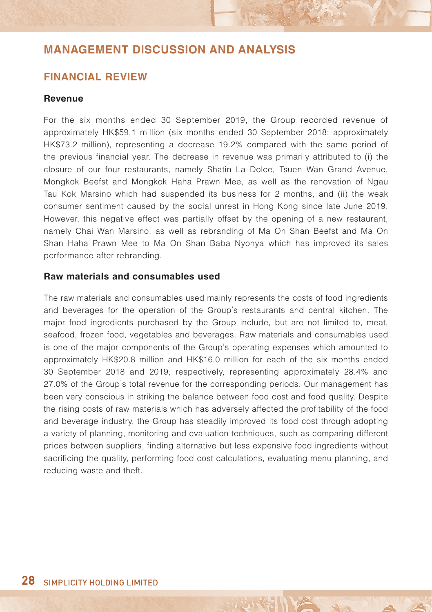### **FINANCIAL REVIEW**

#### **Revenue**

For the six months ended 30 September 2019, the Group recorded revenue of approximately HK\$59.1 million (six months ended 30 September 2018: approximately HK\$73.2 million), representing a decrease 19.2% compared with the same period of the previous financial year. The decrease in revenue was primarily attributed to (i) the closure of our four restaurants, namely Shatin La Dolce, Tsuen Wan Grand Avenue, Mongkok Beefst and Mongkok Haha Prawn Mee, as well as the renovation of Ngau Tau Kok Marsino which had suspended its business for 2 months, and (ii) the weak consumer sentiment caused by the social unrest in Hong Kong since late June 2019. However, this negative effect was partially offset by the opening of a new restaurant, namely Chai Wan Marsino, as well as rebranding of Ma On Shan Beefst and Ma On Shan Haha Prawn Mee to Ma On Shan Baba Nyonya which has improved its sales performance after rebranding.

#### **Raw materials and consumables used**

The raw materials and consumables used mainly represents the costs of food ingredients and beverages for the operation of the Group's restaurants and central kitchen. The major food ingredients purchased by the Group include, but are not limited to, meat, seafood, frozen food, vegetables and beverages. Raw materials and consumables used is one of the major components of the Group's operating expenses which amounted to approximately HK\$20.8 million and HK\$16.0 million for each of the six months ended 30 September 2018 and 2019, respectively, representing approximately 28.4% and 27.0% of the Group's total revenue for the corresponding periods. Our management has been very conscious in striking the balance between food cost and food quality. Despite the rising costs of raw materials which has adversely affected the profitability of the food and beverage industry, the Group has steadily improved its food cost through adopting a variety of planning, monitoring and evaluation techniques, such as comparing different prices between suppliers, finding alternative but less expensive food ingredients without sacrificing the quality, performing food cost calculations, evaluating menu planning, and reducing waste and theft.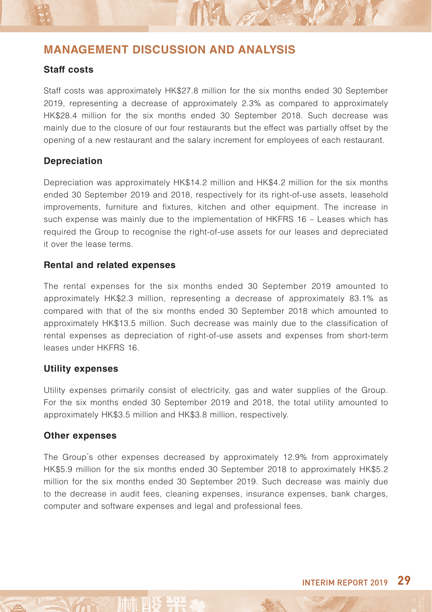#### **Staff costs**

Staff costs was approximately HK\$27.8 million for the six months ended 30 September 2019, representing a decrease of approximately 2.3% as compared to approximately HK\$28.4 million for the six months ended 30 September 2018. Such decrease was mainly due to the closure of our four restaurants but the effect was partially offset by the opening of a new restaurant and the salary increment for employees of each restaurant.

NA

#### **Depreciation**

Depreciation was approximately HK\$14.2 million and HK\$4.2 million for the six months ended 30 September 2019 and 2018, respectively for its right-of-use assets, leasehold improvements, furniture and fixtures, kitchen and other equipment. The increase in such expense was mainly due to the implementation of HKFRS 16 – Leases which has required the Group to recognise the right-of-use assets for our leases and depreciated it over the lease terms.

#### **Rental and related expenses**

The rental expenses for the six months ended 30 September 2019 amounted to approximately HK\$2.3 million, representing a decrease of approximately 83.1% as compared with that of the six months ended 30 September 2018 which amounted to approximately HK\$13.5 million. Such decrease was mainly due to the classification of rental expenses as depreciation of right-of-use assets and expenses from short-term leases under HKFRS 16.

#### **Utility expenses**

Utility expenses primarily consist of electricity, gas and water supplies of the Group. For the six months ended 30 September 2019 and 2018, the total utility amounted to approximately HK\$3.5 million and HK\$3.8 million, respectively.

#### **Other expenses**

The Group's other expenses decreased by approximately 12.9% from approximately HK\$5.9 million for the six months ended 30 September 2018 to approximately HK\$5.2 million for the six months ended 30 September 2019. Such decrease was mainly due to the decrease in audit fees, cleaning expenses, insurance expenses, bank charges, computer and software expenses and legal and professional fees.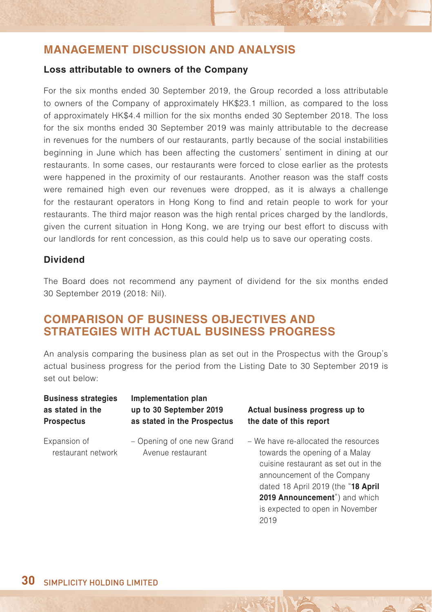#### **Loss attributable to owners of the Company**

For the six months ended 30 September 2019, the Group recorded a loss attributable to owners of the Company of approximately HK\$23.1 million, as compared to the loss of approximately HK\$4.4 million for the six months ended 30 September 2018. The loss for the six months ended 30 September 2019 was mainly attributable to the decrease in revenues for the numbers of our restaurants, partly because of the social instabilities beginning in June which has been affecting the customers' sentiment in dining at our restaurants. In some cases, our restaurants were forced to close earlier as the protests were happened in the proximity of our restaurants. Another reason was the staff costs were remained high even our revenues were dropped, as it is always a challenge for the restaurant operators in Hong Kong to find and retain people to work for your restaurants. The third major reason was the high rental prices charged by the landlords, given the current situation in Hong Kong, we are trying our best effort to discuss with our landlords for rent concession, as this could help us to save our operating costs.

### **Dividend**

The Board does not recommend any payment of dividend for the six months ended 30 September 2019 (2018: Nil).

# **COMPARISON OF BUSINESS OBJECTIVES AND STRATEGIES WITH ACTUAL BUSINESS PROGRESS**

An analysis comparing the business plan as set out in the Prospectus with the Group's actual business progress for the period from the Listing Date to 30 September 2019 is set out below:

| <b>Business strategies</b><br>as stated in the<br><b>Prospectus</b> | Implementation plan<br>up to 30 September 2019<br>as stated in the Prospectus | Actual business progress up to<br>the date of this report                                                                                                                                                                                                       |
|---------------------------------------------------------------------|-------------------------------------------------------------------------------|-----------------------------------------------------------------------------------------------------------------------------------------------------------------------------------------------------------------------------------------------------------------|
| Expansion of<br>restaurant network                                  | - Opening of one new Grand<br>Avenue restaurant                               | – We have re-allocated the resources<br>towards the opening of a Malay<br>cuisine restaurant as set out in the<br>announcement of the Company<br>dated 18 April 2019 (the "18 April<br>2019 Announcement") and which<br>is expected to open in November<br>2019 |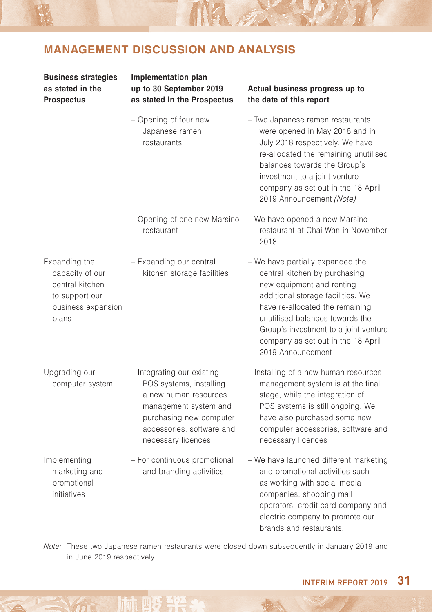MA A

| <b>Business strategies</b><br>as stated in the<br><b>Prospectus</b>                                  | Implementation plan<br>up to 30 September 2019<br>as stated in the Prospectus                                                                                                         | Actual business progress up to<br>the date of this report                                                                                                                                                                                                                                                     |
|------------------------------------------------------------------------------------------------------|---------------------------------------------------------------------------------------------------------------------------------------------------------------------------------------|---------------------------------------------------------------------------------------------------------------------------------------------------------------------------------------------------------------------------------------------------------------------------------------------------------------|
|                                                                                                      | - Opening of four new<br>Japanese ramen<br>restaurants                                                                                                                                | - Two Japanese ramen restaurants<br>were opened in May 2018 and in<br>July 2018 respectively. We have<br>re-allocated the remaining unutilised<br>balances towards the Group's<br>investment to a joint venture<br>company as set out in the 18 April<br>2019 Announcement (Note)                             |
|                                                                                                      | - Opening of one new Marsino<br>restaurant                                                                                                                                            | - We have opened a new Marsino<br>restaurant at Chai Wan in November<br>2018                                                                                                                                                                                                                                  |
| Expanding the<br>capacity of our<br>central kitchen<br>to support our<br>business expansion<br>plans | - Expanding our central<br>kitchen storage facilities                                                                                                                                 | - We have partially expanded the<br>central kitchen by purchasing<br>new equipment and renting<br>additional storage facilities. We<br>have re-allocated the remaining<br>unutilised balances towards the<br>Group's investment to a joint venture<br>company as set out in the 18 April<br>2019 Announcement |
| Upgrading our<br>computer system                                                                     | - Integrating our existing<br>POS systems, installing<br>a new human resources<br>management system and<br>purchasing new computer<br>accessories, software and<br>necessary licences | - Installing of a new human resources<br>management system is at the final<br>stage, while the integration of<br>POS systems is still ongoing. We<br>have also purchased some new<br>computer accessories, software and<br>necessary licences                                                                 |
| Implementing<br>marketing and<br>promotional<br>initiatives                                          | - For continuous promotional<br>and branding activities                                                                                                                               | - We have launched different marketing<br>and promotional activities such<br>as working with social media<br>companies, shopping mall<br>operators, credit card company and<br>electric company to promote our<br>brands and restaurants.                                                                     |

Note: These two Japanese ramen restaurants were closed down subsequently in January 2019 and in June 2019 respectively.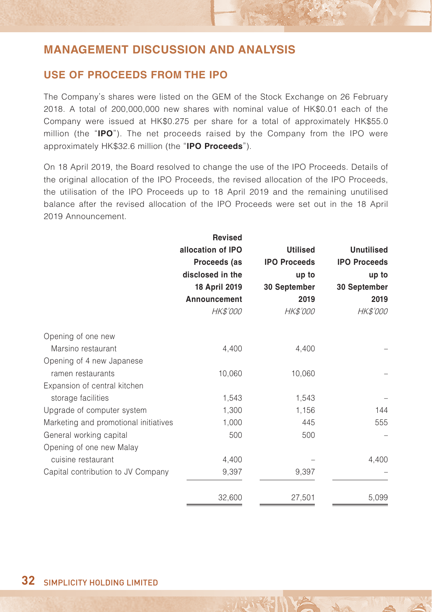### **USE OF PROCEEDS FROM THE IPO**

The Company's shares were listed on the GEM of the Stock Exchange on 26 February 2018. A total of 200,000,000 new shares with nominal value of HK\$0.01 each of the Company were issued at HK\$0.275 per share for a total of approximately HK\$55.0 million (the "**IPO**"). The net proceeds raised by the Company from the IPO were approximately HK\$32.6 million (the "**IPO Proceeds**").

On 18 April 2019, the Board resolved to change the use of the IPO Proceeds. Details of the original allocation of the IPO Proceeds, the revised allocation of the IPO Proceeds, the utilisation of the IPO Proceeds up to 18 April 2019 and the remaining unutilised balance after the revised allocation of the IPO Proceeds were set out in the 18 April 2019 Announcement.

|                                       | <b>Revised</b>    |                     |                     |
|---------------------------------------|-------------------|---------------------|---------------------|
|                                       | allocation of IPO | <b>Utilised</b>     | <b>Unutilised</b>   |
|                                       | Proceeds (as      | <b>IPO Proceeds</b> | <b>IPO Proceeds</b> |
|                                       | disclosed in the  | up to               | up to               |
|                                       | 18 April 2019     | 30 September        | 30 September        |
|                                       | Announcement      | 2019                | 2019                |
|                                       | HK\$'000          | HK\$'000            | <b>HK\$'000</b>     |
| Opening of one new                    |                   |                     |                     |
| Marsino restaurant                    | 4,400             | 4,400               |                     |
| Opening of 4 new Japanese             |                   |                     |                     |
| ramen restaurants                     | 10,060            | 10,060              |                     |
| Expansion of central kitchen          |                   |                     |                     |
| storage facilities                    | 1,543             | 1,543               |                     |
| Upgrade of computer system            | 1,300             | 1,156               | 144                 |
| Marketing and promotional initiatives | 1,000             | 445                 | 555                 |
| General working capital               | 500               | 500                 |                     |
| Opening of one new Malay              |                   |                     |                     |
| cuisine restaurant                    | 4,400             |                     | 4,400               |
| Capital contribution to JV Company    | 9,397             | 9,397               |                     |
|                                       | 32,600            | 27,501              | 5,099               |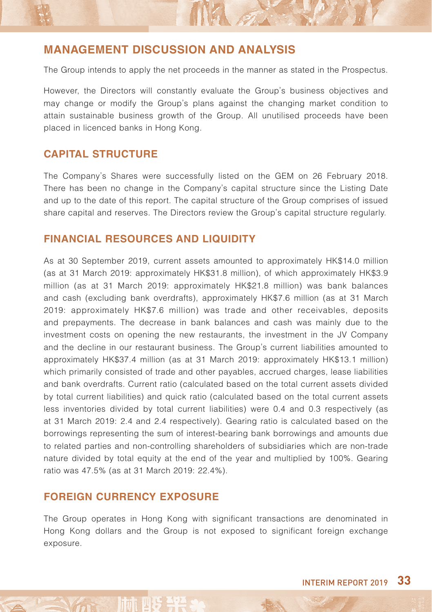The Group intends to apply the net proceeds in the manner as stated in the Prospectus.

MA ST

However, the Directors will constantly evaluate the Group's business objectives and may change or modify the Group's plans against the changing market condition to attain sustainable business growth of the Group. All unutilised proceeds have been placed in licenced banks in Hong Kong.

### **CAPITAL STRUCTURE**

The Company's Shares were successfully listed on the GEM on 26 February 2018. There has been no change in the Company's capital structure since the Listing Date and up to the date of this report. The capital structure of the Group comprises of issued share capital and reserves. The Directors review the Group's capital structure regularly.

### **FINANCIAL RESOURCES AND LIQUIDITY**

As at 30 September 2019, current assets amounted to approximately HK\$14.0 million (as at 31 March 2019: approximately HK\$31.8 million), of which approximately HK\$3.9 million (as at 31 March 2019: approximately HK\$21.8 million) was bank balances and cash (excluding bank overdrafts), approximately HK\$7.6 million (as at 31 March 2019: approximately HK\$7.6 million) was trade and other receivables, deposits and prepayments. The decrease in bank balances and cash was mainly due to the investment costs on opening the new restaurants, the investment in the JV Company and the decline in our restaurant business. The Group's current liabilities amounted to approximately HK\$37.4 million (as at 31 March 2019: approximately HK\$13.1 million) which primarily consisted of trade and other payables, accrued charges, lease liabilities and bank overdrafts. Current ratio (calculated based on the total current assets divided by total current liabilities) and quick ratio (calculated based on the total current assets less inventories divided by total current liabilities) were 0.4 and 0.3 respectively (as at 31 March 2019: 2.4 and 2.4 respectively). Gearing ratio is calculated based on the borrowings representing the sum of interest-bearing bank borrowings and amounts due to related parties and non-controlling shareholders of subsidiaries which are non-trade nature divided by total equity at the end of the year and multiplied by 100%. Gearing ratio was 47.5% (as at 31 March 2019: 22.4%).

#### **FOREIGN CURRENCY EXPOSURE**

The Group operates in Hong Kong with significant transactions are denominated in Hong Kong dollars and the Group is not exposed to significant foreign exchange exposure.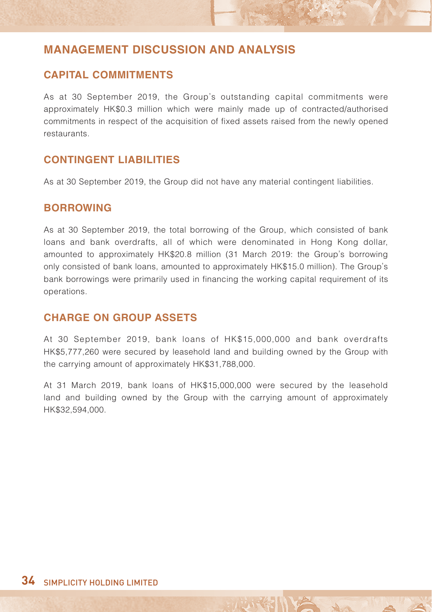### **CAPITAL COMMITMENTS**

As at 30 September 2019, the Group's outstanding capital commitments were approximately HK\$0.3 million which were mainly made up of contracted/authorised commitments in respect of the acquisition of fixed assets raised from the newly opened restaurants.

### **CONTINGENT LIABILITIES**

As at 30 September 2019, the Group did not have any material contingent liabilities.

### **BORROWING**

As at 30 September 2019, the total borrowing of the Group, which consisted of bank loans and bank overdrafts, all of which were denominated in Hong Kong dollar, amounted to approximately HK\$20.8 million (31 March 2019: the Group's borrowing only consisted of bank loans, amounted to approximately HK\$15.0 million). The Group's bank borrowings were primarily used in financing the working capital requirement of its operations.

### **CHARGE ON GROUP ASSETS**

At 30 September 2019, bank loans of HK\$15,000,000 and bank overdrafts HK\$5,777,260 were secured by leasehold land and building owned by the Group with the carrying amount of approximately HK\$31,788,000.

At 31 March 2019, bank loans of HK\$15,000,000 were secured by the leasehold land and building owned by the Group with the carrying amount of approximately HK\$32,594,000.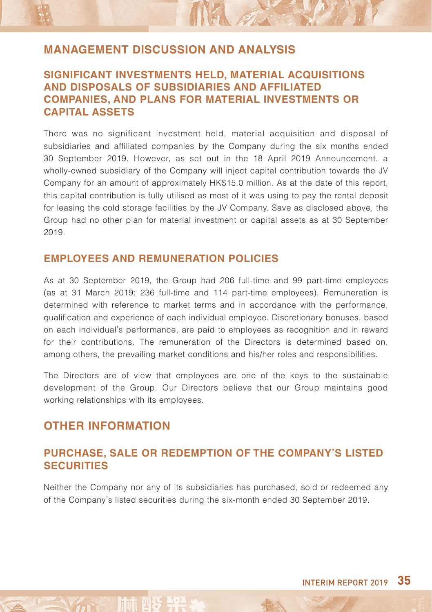### **SIGNIFICANT INVESTMENTS HELD, MATERIAL ACQUISITIONS AND DISPOSALS OF SUBSIDIARIES AND AFFILIATED COMPANIES, AND PLANS FOR MATERIAL INVESTMENTS OR CAPITAL ASSETS**

INA 27

There was no significant investment held, material acquisition and disposal of subsidiaries and affiliated companies by the Company during the six months ended 30 September 2019. However, as set out in the 18 April 2019 Announcement, a wholly-owned subsidiary of the Company will inject capital contribution towards the JV Company for an amount of approximately HK\$15.0 million. As at the date of this report, this capital contribution is fully utilised as most of it was using to pay the rental deposit for leasing the cold storage facilities by the JV Company. Save as disclosed above, the Group had no other plan for material investment or capital assets as at 30 September 2019.

### **EMPLOYEES AND REMUNERATION POLICIES**

As at 30 September 2019, the Group had 206 full-time and 99 part-time employees (as at 31 March 2019: 236 full-time and 114 part-time employees). Remuneration is determined with reference to market terms and in accordance with the performance, qualification and experience of each individual employee. Discretionary bonuses, based on each individual's performance, are paid to employees as recognition and in reward for their contributions. The remuneration of the Directors is determined based on, among others, the prevailing market conditions and his/her roles and responsibilities.

The Directors are of view that employees are one of the keys to the sustainable development of the Group. Our Directors believe that our Group maintains good working relationships with its employees.

# **OTHER INFORMATION**

### **PURCHASE, SALE OR REDEMPTION OF THE COMPANY'S LISTED SECURITIES**

Neither the Company nor any of its subsidiaries has purchased, sold or redeemed any of the Company's listed securities during the six-month ended 30 September 2019.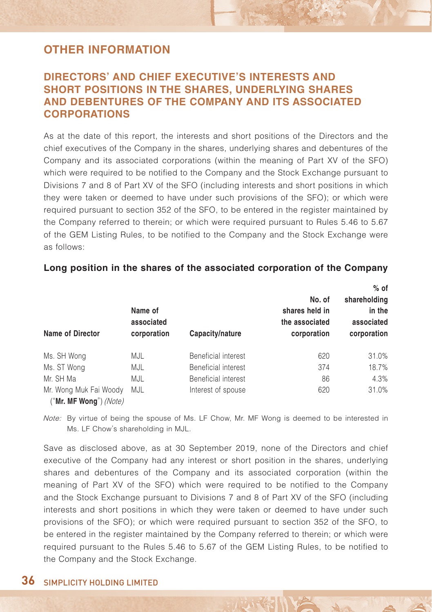### **DIRECTORS' AND CHIEF EXECUTIVE'S INTERESTS AND SHORT POSITIONS IN THE SHARES, UNDERLYING SHARES AND DEBENTURES OF THE COMPANY AND ITS ASSOCIATED CORPORATIONS**

As at the date of this report, the interests and short positions of the Directors and the chief executives of the Company in the shares, underlying shares and debentures of the Company and its associated corporations (within the meaning of Part XV of the SFO) which were required to be notified to the Company and the Stock Exchange pursuant to Divisions 7 and 8 of Part XV of the SFO (including interests and short positions in which they were taken or deemed to have under such provisions of the SFO); or which were required pursuant to section 352 of the SFO, to be entered in the register maintained by the Company referred to therein; or which were required pursuant to Rules 5.46 to 5.67 of the GEM Listing Rules, to be notified to the Company and the Stock Exchange were as follows:

| <b>Name of Director</b>  | Name of<br>associated<br>corporation | Capacity/nature     | No. of<br>shares held in<br>the associated<br>corporation | $%$ of<br>shareholding<br>in the<br>associated<br>corporation |
|--------------------------|--------------------------------------|---------------------|-----------------------------------------------------------|---------------------------------------------------------------|
| Ms. SH Wong              | MJL                                  | Beneficial interest | 620                                                       | 31.0%                                                         |
| Ms. ST Wong              | MJL                                  | Beneficial interest | 374                                                       | 18.7%                                                         |
| Mr. SH Ma                | MJL                                  | Beneficial interest | 86                                                        | 4.3%                                                          |
| Mr. Wong Muk Fai Woody   | MJL                                  | Interest of spouse  | 620                                                       | 31.0%                                                         |
| $("Mr. MF Wong")$ (Note) |                                      |                     |                                                           |                                                               |

#### **Long position in the shares of the associated corporation of the Company**

Note: By virtue of being the spouse of Ms. LF Chow, Mr. MF Wong is deemed to be interested in Ms. LF Chow's shareholding in MJL.

Save as disclosed above, as at 30 September 2019, none of the Directors and chief executive of the Company had any interest or short position in the shares, underlying shares and debentures of the Company and its associated corporation (within the meaning of Part XV of the SFO) which were required to be notified to the Company and the Stock Exchange pursuant to Divisions 7 and 8 of Part XV of the SFO (including interests and short positions in which they were taken or deemed to have under such provisions of the SFO); or which were required pursuant to section 352 of the SFO, to be entered in the register maintained by the Company referred to therein; or which were required pursuant to the Rules 5.46 to 5.67 of the GEM Listing Rules, to be notified to the Company and the Stock Exchange.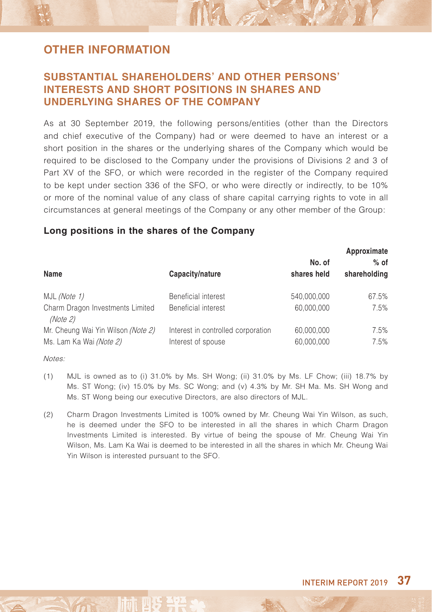### **SUBSTANTIAL SHAREHOLDERS' AND OTHER PERSONS' INTERESTS AND SHORT POSITIONS IN SHARES AND UNDERLYING SHARES OF THE COMPANY**

As at 30 September 2019, the following persons/entities (other than the Directors and chief executive of the Company) had or were deemed to have an interest or a short position in the shares or the underlying shares of the Company which would be required to be disclosed to the Company under the provisions of Divisions 2 and 3 of Part XV of the SFO, or which were recorded in the register of the Company required to be kept under section 336 of the SFO, or who were directly or indirectly, to be 10% or more of the nominal value of any class of share capital carrying rights to vote in all circumstances at general meetings of the Company or any other member of the Group:

NA on

#### **Long positions in the shares of the Company**

|                                                               |                                                          | Approximate              |              |  |
|---------------------------------------------------------------|----------------------------------------------------------|--------------------------|--------------|--|
|                                                               |                                                          | No. of                   | $%$ of       |  |
| Name                                                          | Capacity/nature                                          | shares held              | shareholding |  |
| MJL (Note 1)                                                  | Beneficial interest                                      | 540.000.000              | 67.5%        |  |
| Charm Dragon Investments Limited<br>(Note 2)                  | Beneficial interest                                      | 60.000.000               | 7.5%         |  |
| Mr. Cheung Wai Yin Wilson (Note 2)<br>Ms. Lam Ka Wai (Note 2) | Interest in controlled corporation<br>Interest of spouse | 60,000,000<br>60,000,000 | 7.5%<br>7.5% |  |
|                                                               |                                                          |                          |              |  |

Notes:

- (1) MJL is owned as to (i) 31.0% by Ms. SH Wong; (ii) 31.0% by Ms. LF Chow; (iii) 18.7% by Ms. ST Wong; (iv) 15.0% by Ms. SC Wong; and (v) 4.3% by Mr. SH Ma. Ms. SH Wong and Ms. ST Wong being our executive Directors, are also directors of MJL.
- (2) Charm Dragon Investments Limited is 100% owned by Mr. Cheung Wai Yin Wilson, as such, he is deemed under the SFO to be interested in all the shares in which Charm Dragon Investments Limited is interested. By virtue of being the spouse of Mr. Cheung Wai Yin Wilson, Ms. Lam Ka Wai is deemed to be interested in all the shares in which Mr. Cheung Wai Yin Wilson is interested pursuant to the SFO.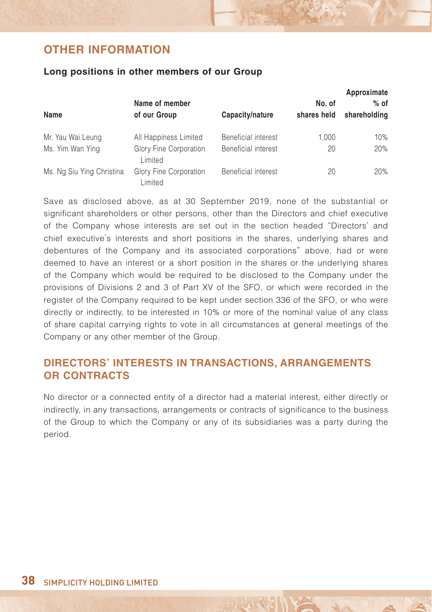#### **Long positions in other members of our Group**

| Name                      | Name of member<br>of our Group    | Capacity/nature            | No. of<br>shares held | Approximate<br>$%$ of<br>shareholding |
|---------------------------|-----------------------------------|----------------------------|-----------------------|---------------------------------------|
| Mr. Yau Wai Leung         | All Happiness Limited             | Beneficial interest        | 1.000                 | 10%                                   |
| Ms. Yim Wan Ying          | Glory Fine Corporation<br>Limited | <b>Beneficial interest</b> | 20                    | 20%                                   |
| Ms. Ng Siu Ying Christina | Glory Fine Corporation<br>Limited | Beneficial interest        | 20                    | 20%                                   |

Save as disclosed above, as at 30 September 2019, none of the substantial or significant shareholders or other persons, other than the Directors and chief executive of the Company whose interests are set out in the section headed "Directors' and chief executive's interests and short positions in the shares, underlying shares and debentures of the Company and its associated corporations" above, had or were deemed to have an interest or a short position in the shares or the underlying shares of the Company which would be required to be disclosed to the Company under the provisions of Divisions 2 and 3 of Part XV of the SFO, or which were recorded in the register of the Company required to be kept under section 336 of the SFO, or who were directly or indirectly, to be interested in 10% or more of the nominal value of any class of share capital carrying rights to vote in all circumstances at general meetings of the Company or any other member of the Group.

### **DIRECTORS' INTERESTS IN TRANSACTIONS, ARRANGEMENTS OR CONTRACTS**

No director or a connected entity of a director had a material interest, either directly or indirectly, in any transactions, arrangements or contracts of significance to the business of the Group to which the Company or any of its subsidiaries was a party during the period.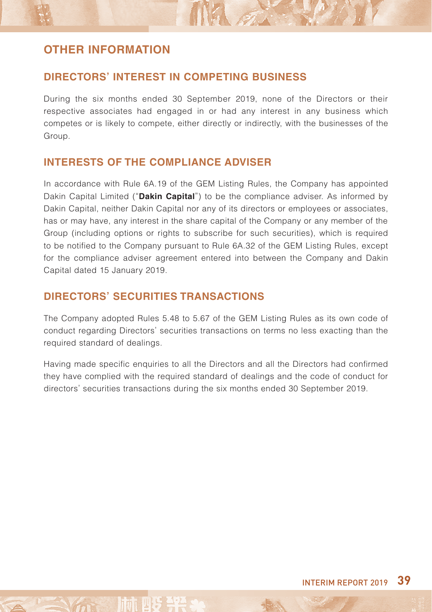### **DIRECTORS' INTEREST IN COMPETING BUSINESS**

During the six months ended 30 September 2019, none of the Directors or their respective associates had engaged in or had any interest in any business which competes or is likely to compete, either directly or indirectly, with the businesses of the Group.

NA ST

### **INTERESTS OF THE COMPLIANCE ADVISER**

In accordance with Rule 6A.19 of the GEM Listing Rules, the Company has appointed Dakin Capital Limited ("**Dakin Capital**") to be the compliance adviser. As informed by Dakin Capital, neither Dakin Capital nor any of its directors or employees or associates, has or may have, any interest in the share capital of the Company or any member of the Group (including options or rights to subscribe for such securities), which is required to be notified to the Company pursuant to Rule 6A.32 of the GEM Listing Rules, except for the compliance adviser agreement entered into between the Company and Dakin Capital dated 15 January 2019.

### **DIRECTORS' SECURITIES TRANSACTIONS**

The Company adopted Rules 5.48 to 5.67 of the GEM Listing Rules as its own code of conduct regarding Directors' securities transactions on terms no less exacting than the required standard of dealings.

Having made specific enquiries to all the Directors and all the Directors had confirmed they have complied with the required standard of dealings and the code of conduct for directors' securities transactions during the six months ended 30 September 2019.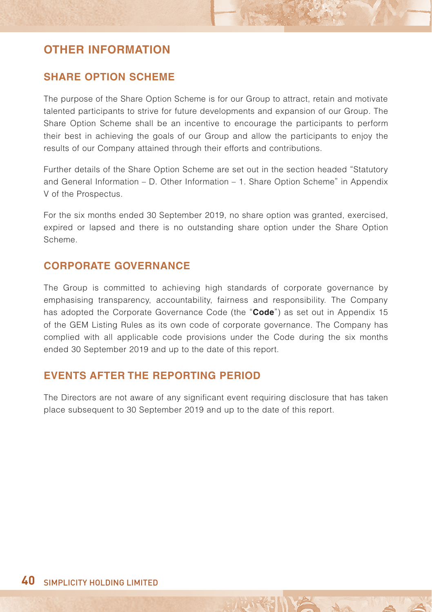### **SHARE OPTION SCHEME**

The purpose of the Share Option Scheme is for our Group to attract, retain and motivate talented participants to strive for future developments and expansion of our Group. The Share Option Scheme shall be an incentive to encourage the participants to perform their best in achieving the goals of our Group and allow the participants to enjoy the results of our Company attained through their efforts and contributions.

Further details of the Share Option Scheme are set out in the section headed "Statutory and General Information – D. Other Information – 1. Share Option Scheme" in Appendix V of the Prospectus.

For the six months ended 30 September 2019, no share option was granted, exercised, expired or lapsed and there is no outstanding share option under the Share Option Scheme.

### **CORPORATE GOVERNANCE**

The Group is committed to achieving high standards of corporate governance by emphasising transparency, accountability, fairness and responsibility. The Company has adopted the Corporate Governance Code (the "**Code**") as set out in Appendix 15 of the GEM Listing Rules as its own code of corporate governance. The Company has complied with all applicable code provisions under the Code during the six months ended 30 September 2019 and up to the date of this report.

### **EVENTS AFTER THE REPORTING PERIOD**

The Directors are not aware of any significant event requiring disclosure that has taken place subsequent to 30 September 2019 and up to the date of this report.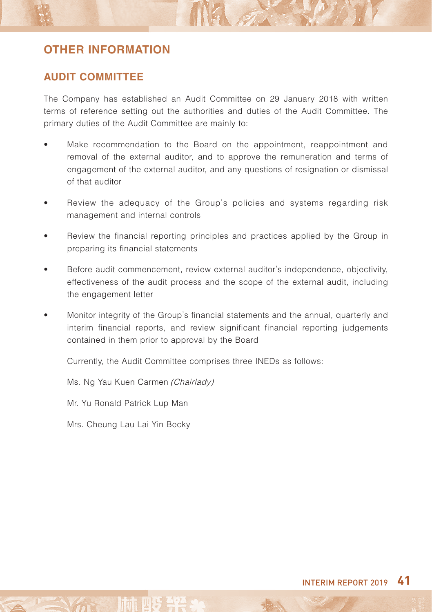### **AUDIT COMMITTEE**

The Company has established an Audit Committee on 29 January 2018 with written terms of reference setting out the authorities and duties of the Audit Committee. The primary duties of the Audit Committee are mainly to:

NA

- Make recommendation to the Board on the appointment, reappointment and removal of the external auditor, and to approve the remuneration and terms of engagement of the external auditor, and any questions of resignation or dismissal of that auditor
- Review the adequacy of the Group's policies and systems regarding risk management and internal controls
- Review the financial reporting principles and practices applied by the Group in preparing its financial statements
- Before audit commencement, review external auditor's independence, objectivity, effectiveness of the audit process and the scope of the external audit, including the engagement letter
- Monitor integrity of the Group's financial statements and the annual, quarterly and interim financial reports, and review significant financial reporting judgements contained in them prior to approval by the Board

Currently, the Audit Committee comprises three INEDs as follows:

Ms. Ng Yau Kuen Carmen (Chairlady)

Mr. Yu Ronald Patrick Lup Man

Mrs. Cheung Lau Lai Yin Becky